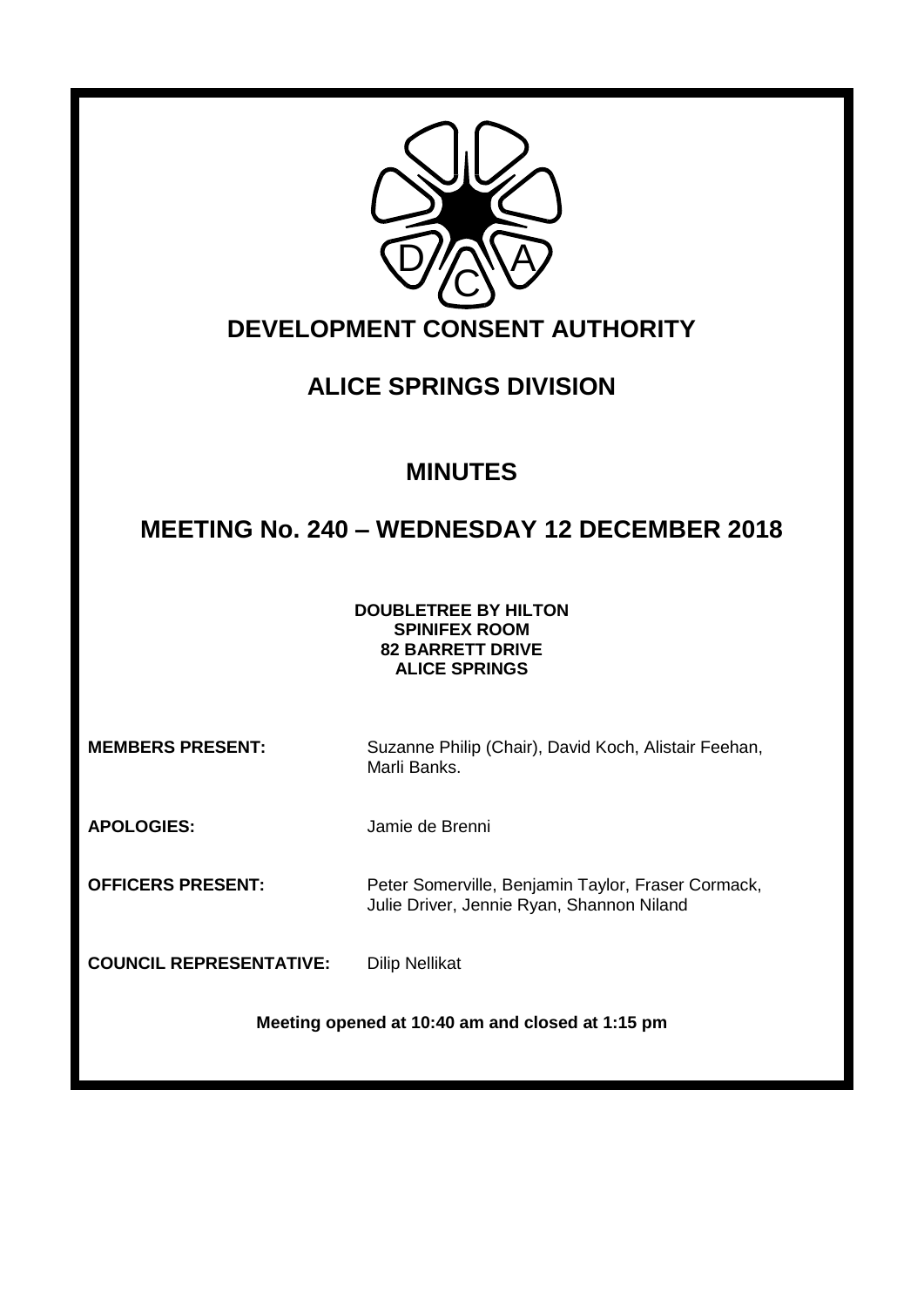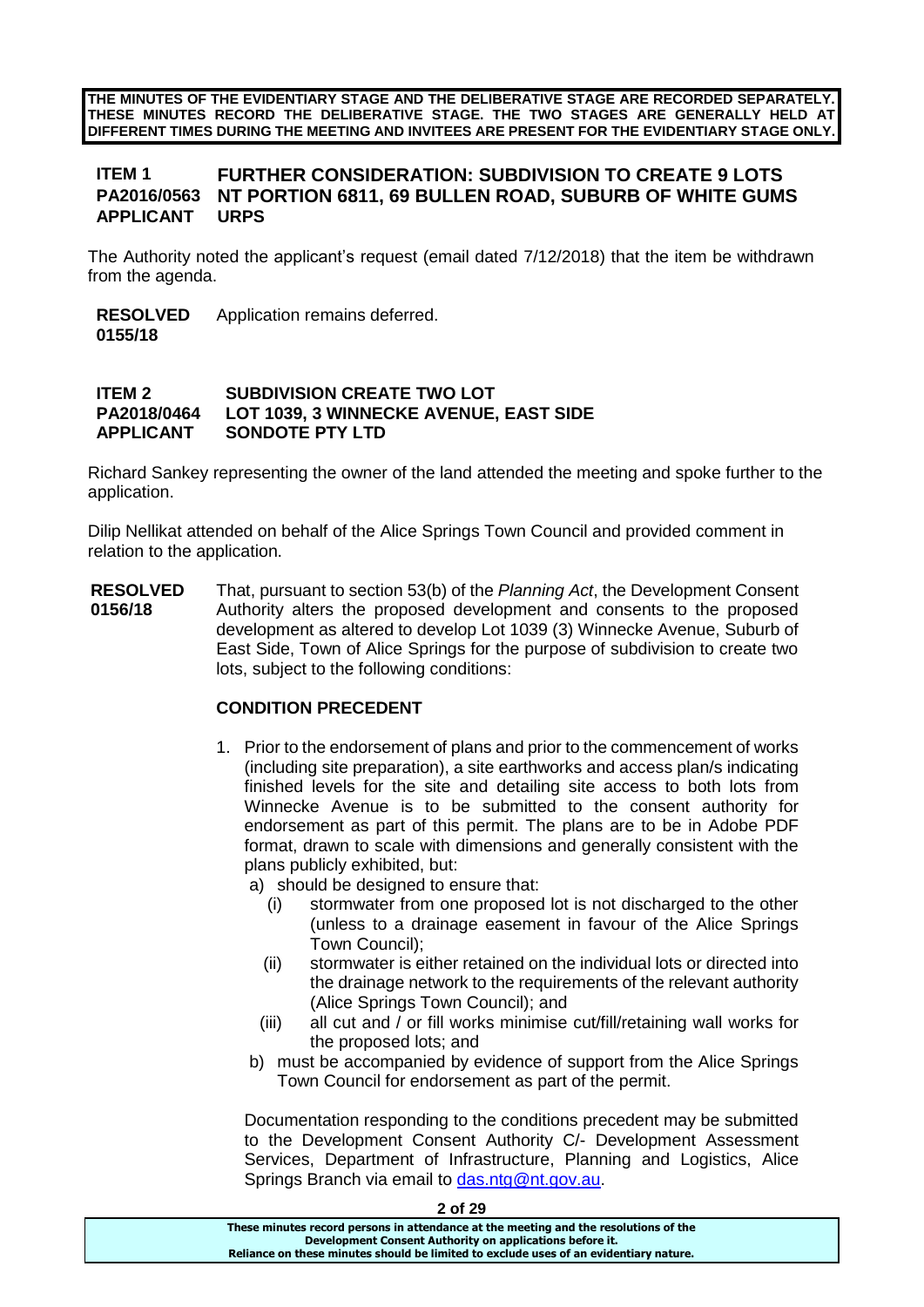**THE MINUTES OF THE EVIDENTIARY STAGE AND THE DELIBERATIVE STAGE ARE RECORDED SEPARATELY. THESE MINUTES RECORD THE DELIBERATIVE STAGE. THE TWO STAGES ARE GENERALLY HELD AT DIFFERENT TIMES DURING THE MEETING AND INVITEES ARE PRESENT FOR THE EVIDENTIARY STAGE ONLY.**

# **ITEM 1 FURTHER CONSIDERATION: SUBDIVISION TO CREATE 9 LOTS NT PORTION 6811, 69 BULLEN ROAD, SUBURB OF WHITE GUMS**<br>URPS **APPLICANT**

The Authority noted the applicant's request (email dated 7/12/2018) that the item be withdrawn from the agenda.

**RESOLVED** Application remains deferred.

# **0155/18**

### **ITEM 2 SUBDIVISION CREATE TWO LOT PA2018/0464 LOT 1039, 3 WINNECKE AVENUE, EAST SIDE APPLICANT SONDOTE PTY LTD**

Richard Sankey representing the owner of the land attended the meeting and spoke further to the application.

Dilip Nellikat attended on behalf of the Alice Springs Town Council and provided comment in relation to the application.

**RESOLVED 0156/18** That, pursuant to section 53(b) of the *Planning Act*, the Development Consent Authority alters the proposed development and consents to the proposed development as altered to develop Lot 1039 (3) Winnecke Avenue, Suburb of East Side, Town of Alice Springs for the purpose of subdivision to create two lots, subject to the following conditions:

# **CONDITION PRECEDENT**

- 1. Prior to the endorsement of plans and prior to the commencement of works (including site preparation), a site earthworks and access plan/s indicating finished levels for the site and detailing site access to both lots from Winnecke Avenue is to be submitted to the consent authority for endorsement as part of this permit. The plans are to be in Adobe PDF format, drawn to scale with dimensions and generally consistent with the plans publicly exhibited, but:
	- a) should be designed to ensure that:
		- (i) stormwater from one proposed lot is not discharged to the other (unless to a drainage easement in favour of the Alice Springs Town Council);
		- (ii) stormwater is either retained on the individual lots or directed into the drainage network to the requirements of the relevant authority (Alice Springs Town Council); and
		- (iii) all cut and / or fill works minimise cut/fill/retaining wall works for the proposed lots; and
	- b) must be accompanied by evidence of support from the Alice Springs Town Council for endorsement as part of the permit.

Documentation responding to the conditions precedent may be submitted to the Development Consent Authority C/- Development Assessment Services, Department of Infrastructure, Planning and Logistics, Alice Springs Branch via email to [das.ntg@nt.gov.au.](mailto:das.ntg@nt.gov.au)

| 2 of 29                                                                               |
|---------------------------------------------------------------------------------------|
| These minutes record persons in attendance at the meeting and the resolutions of the  |
| Development Consent Authority on applications before it.                              |
| Reliance on these minutes should be limited to exclude uses of an evidentiary nature. |
|                                                                                       |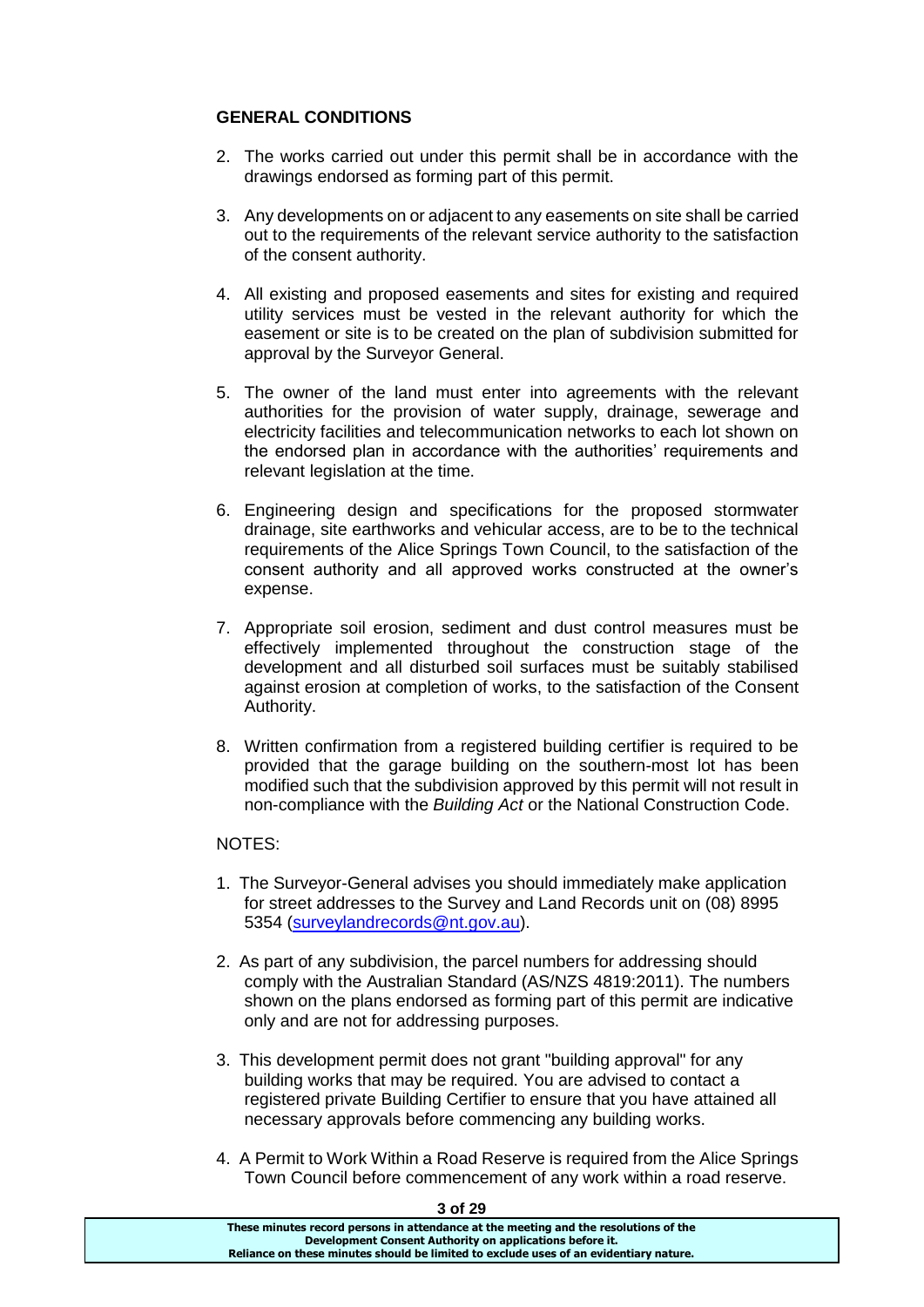# **GENERAL CONDITIONS**

- 2. The works carried out under this permit shall be in accordance with the drawings endorsed as forming part of this permit.
- 3. Any developments on or adjacent to any easements on site shall be carried out to the requirements of the relevant service authority to the satisfaction of the consent authority.
- 4. All existing and proposed easements and sites for existing and required utility services must be vested in the relevant authority for which the easement or site is to be created on the plan of subdivision submitted for approval by the Surveyor General.
- 5. The owner of the land must enter into agreements with the relevant authorities for the provision of water supply, drainage, sewerage and electricity facilities and telecommunication networks to each lot shown on the endorsed plan in accordance with the authorities' requirements and relevant legislation at the time.
- 6. Engineering design and specifications for the proposed stormwater drainage, site earthworks and vehicular access, are to be to the technical requirements of the Alice Springs Town Council, to the satisfaction of the consent authority and all approved works constructed at the owner's expense.
- 7. Appropriate soil erosion, sediment and dust control measures must be effectively implemented throughout the construction stage of the development and all disturbed soil surfaces must be suitably stabilised against erosion at completion of works, to the satisfaction of the Consent Authority.
- 8. Written confirmation from a registered building certifier is required to be provided that the garage building on the southern-most lot has been modified such that the subdivision approved by this permit will not result in non-compliance with the *Building Act* or the National Construction Code.

# NOTES:

- 1. The Surveyor-General advises you should immediately make application for street addresses to the Survey and Land Records unit on (08) 8995 5354 [\(surveylandrecords@nt.gov.au\)](mailto:surveylandrecords@nt.gov.au).
- 2. As part of any subdivision, the parcel numbers for addressing should comply with the Australian Standard (AS/NZS 4819:2011). The numbers shown on the plans endorsed as forming part of this permit are indicative only and are not for addressing purposes.
- 3. This development permit does not grant "building approval" for any building works that may be required. You are advised to contact a registered private Building Certifier to ensure that you have attained all necessary approvals before commencing any building works.
- 4. A Permit to Work Within a Road Reserve is required from the Alice Springs Town Council before commencement of any work within a road reserve.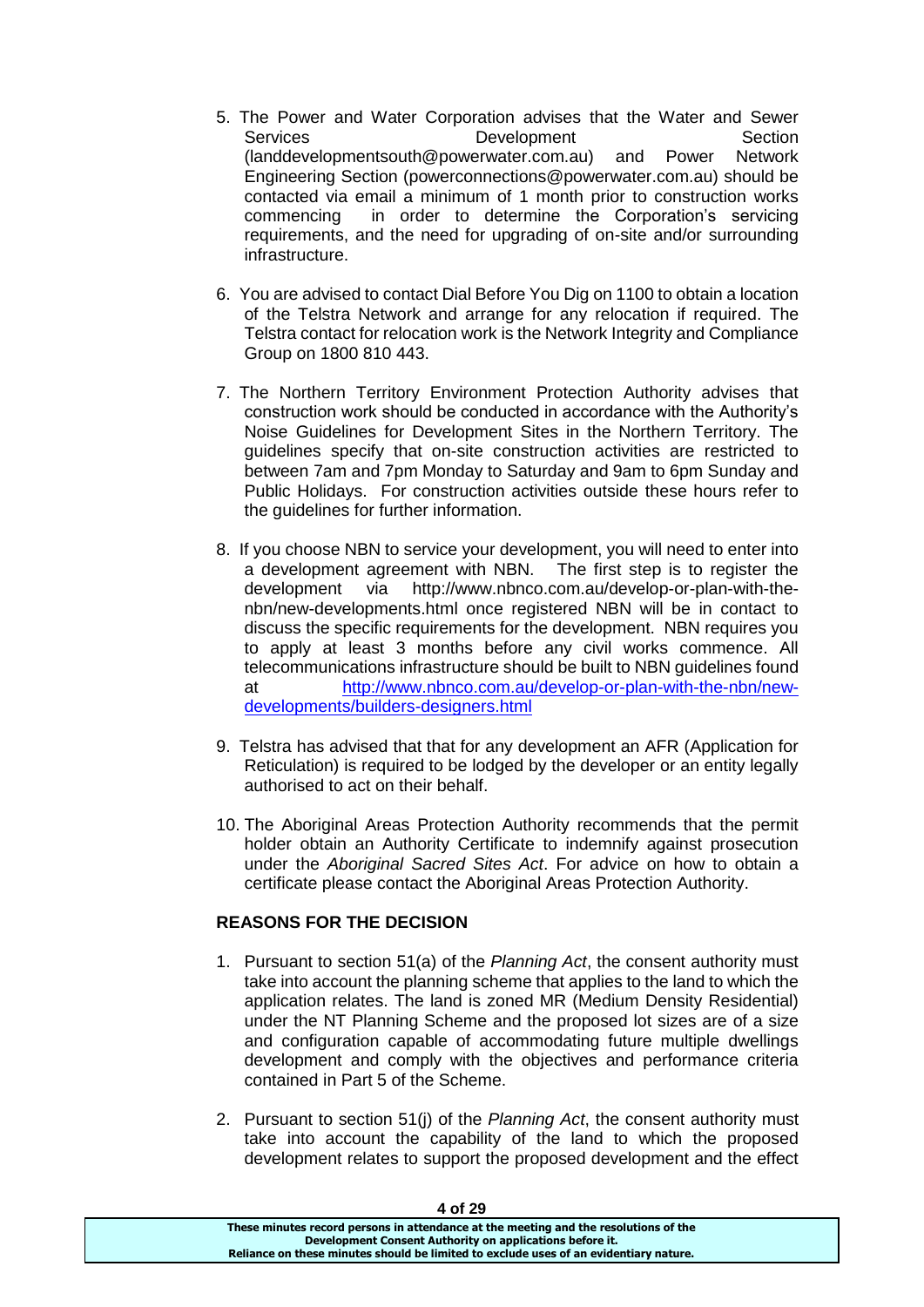- 5. The Power and Water Corporation advises that the Water and Sewer Services Development Section (landdevelopmentsouth@powerwater.com.au) and Power Network Engineering Section (powerconnections@powerwater.com.au) should be contacted via email a minimum of 1 month prior to construction works commencing in order to determine the Corporation's servicing requirements, and the need for upgrading of on-site and/or surrounding infrastructure.
- 6. You are advised to contact Dial Before You Dig on 1100 to obtain a location of the Telstra Network and arrange for any relocation if required. The Telstra contact for relocation work is the Network Integrity and Compliance Group on 1800 810 443.
- 7. The Northern Territory Environment Protection Authority advises that construction work should be conducted in accordance with the Authority's Noise Guidelines for Development Sites in the Northern Territory. The guidelines specify that on-site construction activities are restricted to between 7am and 7pm Monday to Saturday and 9am to 6pm Sunday and Public Holidays. For construction activities outside these hours refer to the guidelines for further information.
- 8. If you choose NBN to service your development, you will need to enter into a development agreement with NBN. The first step is to register the development via http://www.nbnco.com.au/develop-or-plan-with-thenbn/new-developments.html once registered NBN will be in contact to discuss the specific requirements for the development. NBN requires you to apply at least 3 months before any civil works commence. All telecommunications infrastructure should be built to NBN guidelines found at [http://www.nbnco.com.au/develop-or-plan-with-the-nbn/new](http://www.nbnco.com.au/develop-or-plan-with-the-nbn/new-developments/builders-designers.html)[developments/builders-designers.html](http://www.nbnco.com.au/develop-or-plan-with-the-nbn/new-developments/builders-designers.html)
- 9. Telstra has advised that that for any development an AFR (Application for Reticulation) is required to be lodged by the developer or an entity legally authorised to act on their behalf.
- 10. The Aboriginal Areas Protection Authority recommends that the permit holder obtain an Authority Certificate to indemnify against prosecution under the *Aboriginal Sacred Sites Act*. For advice on how to obtain a certificate please contact the Aboriginal Areas Protection Authority.

# **REASONS FOR THE DECISION**

- 1. Pursuant to section 51(a) of the *Planning Act*, the consent authority must take into account the planning scheme that applies to the land to which the application relates. The land is zoned MR (Medium Density Residential) under the NT Planning Scheme and the proposed lot sizes are of a size and configuration capable of accommodating future multiple dwellings development and comply with the objectives and performance criteria contained in Part 5 of the Scheme.
- 2. Pursuant to section 51(j) of the *Planning Act*, the consent authority must take into account the capability of the land to which the proposed development relates to support the proposed development and the effect

| 4 OT 29                                                                               |
|---------------------------------------------------------------------------------------|
| These minutes record persons in attendance at the meeting and the resolutions of the  |
| Development Consent Authority on applications before it.                              |
| Reliance on these minutes should be limited to exclude uses of an evidentiary nature. |
|                                                                                       |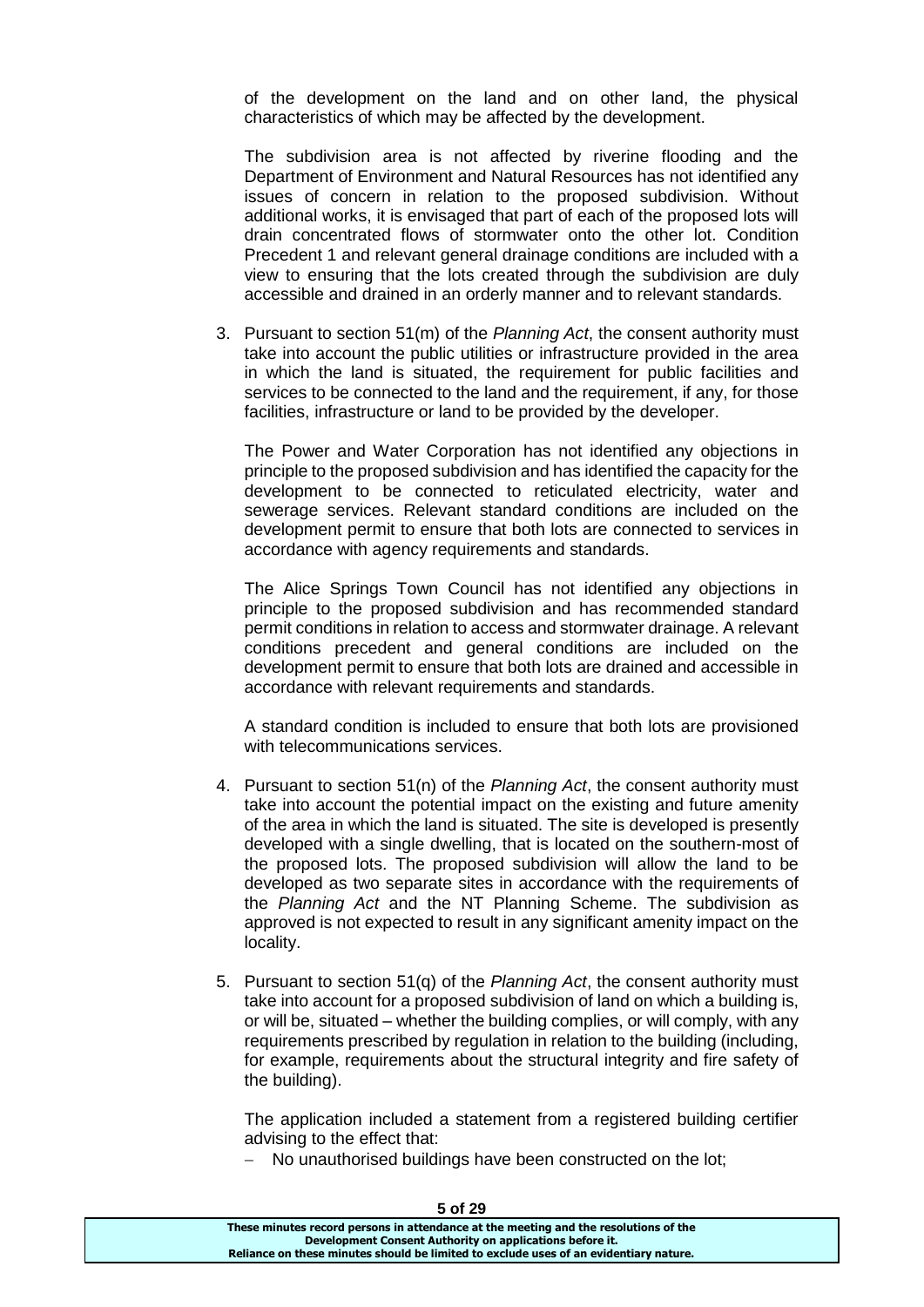of the development on the land and on other land, the physical characteristics of which may be affected by the development.

The subdivision area is not affected by riverine flooding and the Department of Environment and Natural Resources has not identified any issues of concern in relation to the proposed subdivision. Without additional works, it is envisaged that part of each of the proposed lots will drain concentrated flows of stormwater onto the other lot. Condition Precedent 1 and relevant general drainage conditions are included with a view to ensuring that the lots created through the subdivision are duly accessible and drained in an orderly manner and to relevant standards.

3. Pursuant to section 51(m) of the *Planning Act*, the consent authority must take into account the public utilities or infrastructure provided in the area in which the land is situated, the requirement for public facilities and services to be connected to the land and the requirement, if any, for those facilities, infrastructure or land to be provided by the developer.

The Power and Water Corporation has not identified any objections in principle to the proposed subdivision and has identified the capacity for the development to be connected to reticulated electricity, water and sewerage services. Relevant standard conditions are included on the development permit to ensure that both lots are connected to services in accordance with agency requirements and standards.

The Alice Springs Town Council has not identified any objections in principle to the proposed subdivision and has recommended standard permit conditions in relation to access and stormwater drainage. A relevant conditions precedent and general conditions are included on the development permit to ensure that both lots are drained and accessible in accordance with relevant requirements and standards.

A standard condition is included to ensure that both lots are provisioned with telecommunications services.

- 4. Pursuant to section 51(n) of the *Planning Act*, the consent authority must take into account the potential impact on the existing and future amenity of the area in which the land is situated. The site is developed is presently developed with a single dwelling, that is located on the southern-most of the proposed lots. The proposed subdivision will allow the land to be developed as two separate sites in accordance with the requirements of the *Planning Act* and the NT Planning Scheme. The subdivision as approved is not expected to result in any significant amenity impact on the locality.
- 5. Pursuant to section 51(q) of the *Planning Act*, the consent authority must take into account for a proposed subdivision of land on which a building is, or will be, situated – whether the building complies, or will comply, with any requirements prescribed by regulation in relation to the building (including, for example, requirements about the structural integrity and fire safety of the building).

The application included a statement from a registered building certifier advising to the effect that:

- No unauthorised buildings have been constructed on the lot;

| 8 טוס כ                                                                               |  |
|---------------------------------------------------------------------------------------|--|
| These minutes record persons in attendance at the meeting and the resolutions of the  |  |
| Development Consent Authority on applications before it.                              |  |
| Reliance on these minutes should be limited to exclude uses of an evidentiary nature. |  |
|                                                                                       |  |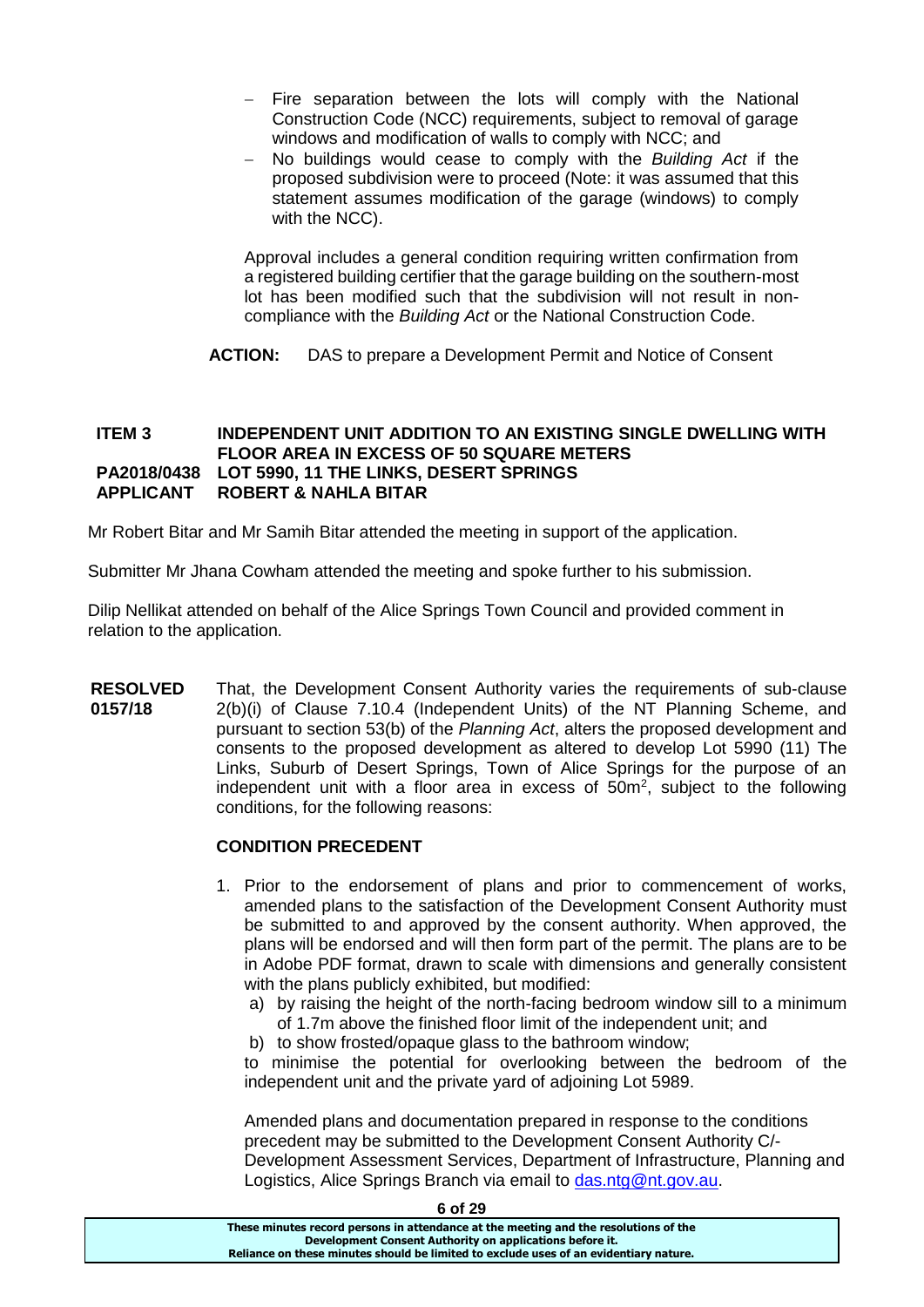- Fire separation between the lots will comply with the National Construction Code (NCC) requirements, subject to removal of garage windows and modification of walls to comply with NCC; and
- No buildings would cease to comply with the *Building Act* if the proposed subdivision were to proceed (Note: it was assumed that this statement assumes modification of the garage (windows) to comply with the NCC).

Approval includes a general condition requiring written confirmation from a registered building certifier that the garage building on the southern-most lot has been modified such that the subdivision will not result in noncompliance with the *Building Act* or the National Construction Code.

**ACTION:** DAS to prepare a Development Permit and Notice of Consent

# **ITEM 3 INDEPENDENT UNIT ADDITION TO AN EXISTING SINGLE DWELLING WITH FLOOR AREA IN EXCESS OF 50 SQUARE METERS PA2018/0438 LOT 5990, 11 THE LINKS, DESERT SPRINGS APPLICANT ROBERT & NAHLA BITAR**

Mr Robert Bitar and Mr Samih Bitar attended the meeting in support of the application.

Submitter Mr Jhana Cowham attended the meeting and spoke further to his submission.

Dilip Nellikat attended on behalf of the Alice Springs Town Council and provided comment in relation to the application.

**RESOLVED 0157/18** That, the Development Consent Authority varies the requirements of sub-clause 2(b)(i) of Clause 7.10.4 (Independent Units) of the NT Planning Scheme, and pursuant to section 53(b) of the *Planning Act*, alters the proposed development and consents to the proposed development as altered to develop Lot 5990 (11) The Links, Suburb of Desert Springs, Town of Alice Springs for the purpose of an independent unit with a floor area in excess of  $50m^2$ , subject to the following conditions, for the following reasons:

# **CONDITION PRECEDENT**

- 1. Prior to the endorsement of plans and prior to commencement of works, amended plans to the satisfaction of the Development Consent Authority must be submitted to and approved by the consent authority. When approved, the plans will be endorsed and will then form part of the permit. The plans are to be in Adobe PDF format, drawn to scale with dimensions and generally consistent with the plans publicly exhibited, but modified:
	- a) by raising the height of the north-facing bedroom window sill to a minimum of 1.7m above the finished floor limit of the independent unit; and
	- b) to show frosted/opaque glass to the bathroom window;

to minimise the potential for overlooking between the bedroom of the independent unit and the private yard of adjoining Lot 5989.

Amended plans and documentation prepared in response to the conditions precedent may be submitted to the Development Consent Authority C/- Development Assessment Services, Department of Infrastructure, Planning and Logistics, Alice Springs Branch via email to [das.ntg@nt.gov.au.](mailto:das.ntg@nt.gov.au)

| 6 of 29                                                                               |
|---------------------------------------------------------------------------------------|
| These minutes record persons in attendance at the meeting and the resolutions of the  |
| Development Consent Authority on applications before it.                              |
| Reliance on these minutes should be limited to exclude uses of an evidentiary nature. |
|                                                                                       |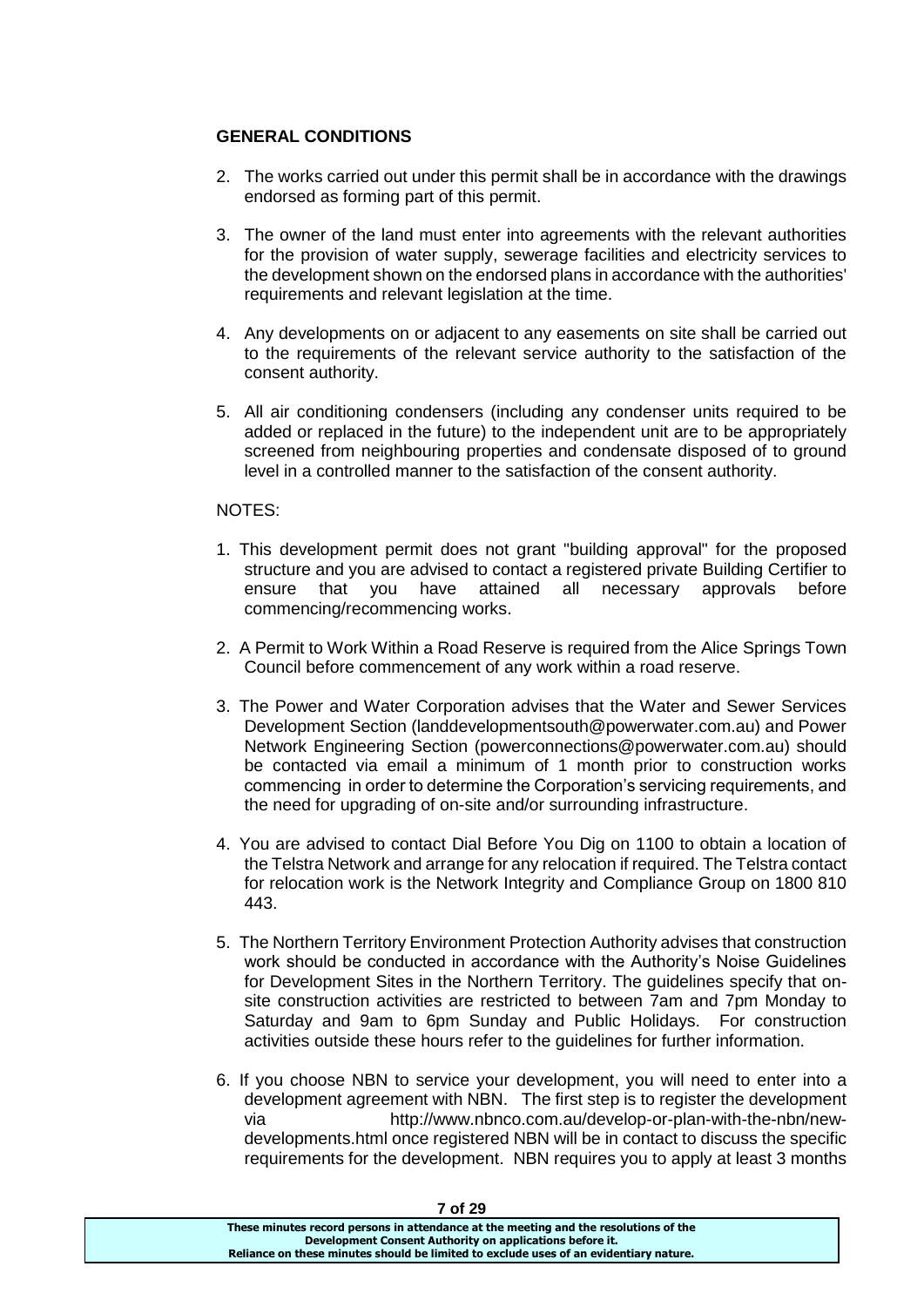# **GENERAL CONDITIONS**

- 2. The works carried out under this permit shall be in accordance with the drawings endorsed as forming part of this permit.
- 3. The owner of the land must enter into agreements with the relevant authorities for the provision of water supply, sewerage facilities and electricity services to the development shown on the endorsed plans in accordance with the authorities' requirements and relevant legislation at the time.
- 4. Any developments on or adjacent to any easements on site shall be carried out to the requirements of the relevant service authority to the satisfaction of the consent authority.
- 5. All air conditioning condensers (including any condenser units required to be added or replaced in the future) to the independent unit are to be appropriately screened from neighbouring properties and condensate disposed of to ground level in a controlled manner to the satisfaction of the consent authority.

# NOTES:

- 1. This development permit does not grant "building approval" for the proposed structure and you are advised to contact a registered private Building Certifier to ensure that you have attained all necessary approvals before commencing/recommencing works.
- 2. A Permit to Work Within a Road Reserve is required from the Alice Springs Town Council before commencement of any work within a road reserve.
- 3. The Power and Water Corporation advises that the Water and Sewer Services Development Section (landdevelopmentsouth@powerwater.com.au) and Power Network Engineering Section (powerconnections@powerwater.com.au) should be contacted via email a minimum of 1 month prior to construction works commencing in order to determine the Corporation's servicing requirements, and the need for upgrading of on-site and/or surrounding infrastructure.
- 4. You are advised to contact Dial Before You Dig on 1100 to obtain a location of the Telstra Network and arrange for any relocation if required. The Telstra contact for relocation work is the Network Integrity and Compliance Group on 1800 810 443.
- 5. The Northern Territory Environment Protection Authority advises that construction work should be conducted in accordance with the Authority's Noise Guidelines for Development Sites in the Northern Territory. The guidelines specify that onsite construction activities are restricted to between 7am and 7pm Monday to Saturday and 9am to 6pm Sunday and Public Holidays. For construction activities outside these hours refer to the guidelines for further information.
- 6. If you choose NBN to service your development, you will need to enter into a development agreement with NBN. The first step is to register the development via http://www.nbnco.com.au/develop-or-plan-with-the-nbn/newdevelopments.html once registered NBN will be in contact to discuss the specific requirements for the development. NBN requires you to apply at least 3 months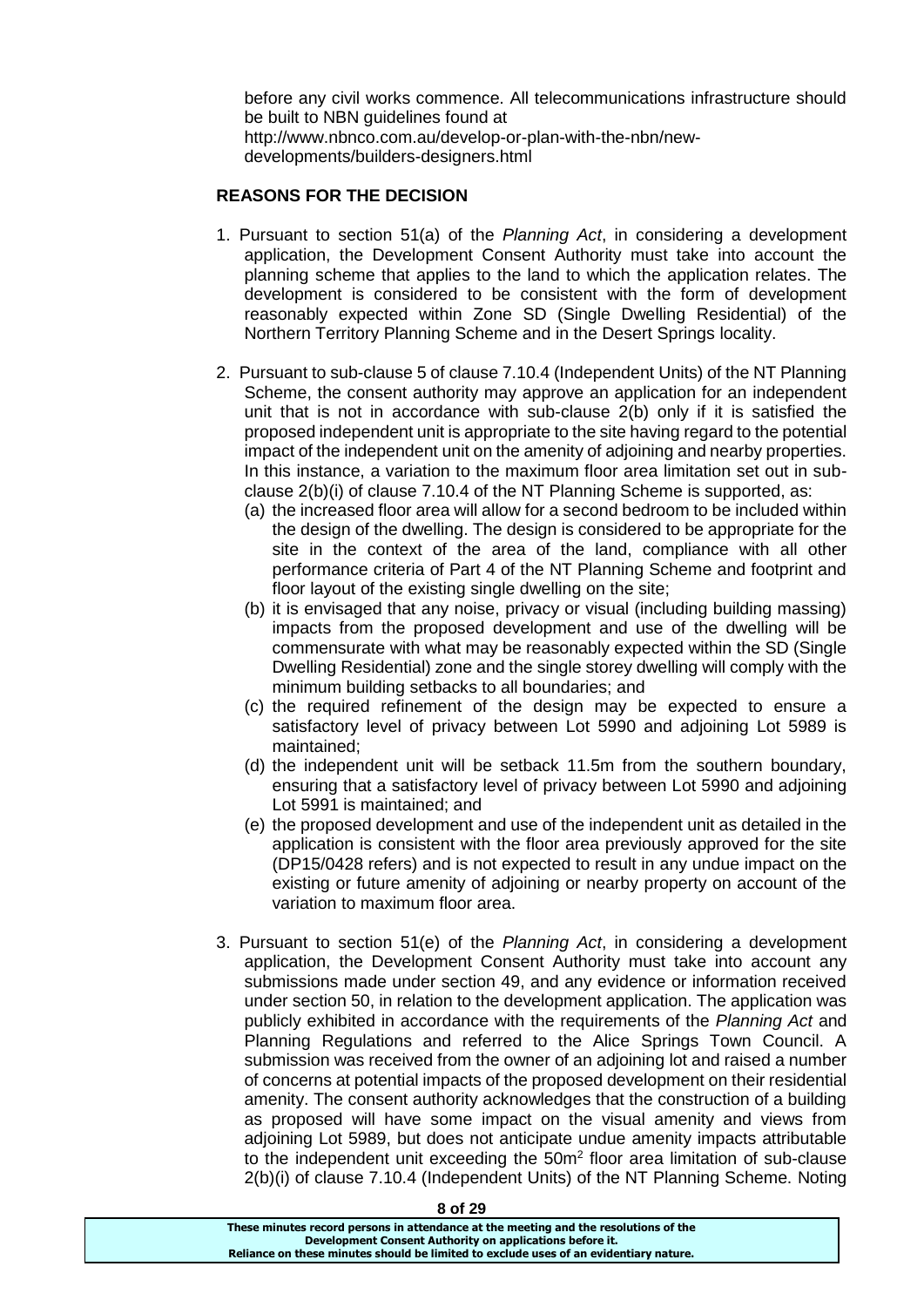before any civil works commence. All telecommunications infrastructure should be built to NBN guidelines found at http://www.nbnco.com.au/develop-or-plan-with-the-nbn/newdevelopments/builders-designers.html

# **REASONS FOR THE DECISION**

- 1. Pursuant to section 51(a) of the *Planning Act*, in considering a development application, the Development Consent Authority must take into account the planning scheme that applies to the land to which the application relates. The development is considered to be consistent with the form of development reasonably expected within Zone SD (Single Dwelling Residential) of the Northern Territory Planning Scheme and in the Desert Springs locality.
- 2. Pursuant to sub-clause 5 of clause 7.10.4 (Independent Units) of the NT Planning Scheme, the consent authority may approve an application for an independent unit that is not in accordance with sub-clause 2(b) only if it is satisfied the proposed independent unit is appropriate to the site having regard to the potential impact of the independent unit on the amenity of adjoining and nearby properties. In this instance, a variation to the maximum floor area limitation set out in subclause 2(b)(i) of clause 7.10.4 of the NT Planning Scheme is supported, as:
	- (a) the increased floor area will allow for a second bedroom to be included within the design of the dwelling. The design is considered to be appropriate for the site in the context of the area of the land, compliance with all other performance criteria of Part 4 of the NT Planning Scheme and footprint and floor layout of the existing single dwelling on the site;
	- (b) it is envisaged that any noise, privacy or visual (including building massing) impacts from the proposed development and use of the dwelling will be commensurate with what may be reasonably expected within the SD (Single Dwelling Residential) zone and the single storey dwelling will comply with the minimum building setbacks to all boundaries; and
	- (c) the required refinement of the design may be expected to ensure a satisfactory level of privacy between Lot 5990 and adjoining Lot 5989 is maintained;
	- (d) the independent unit will be setback 11.5m from the southern boundary, ensuring that a satisfactory level of privacy between Lot 5990 and adjoining Lot 5991 is maintained; and
	- (e) the proposed development and use of the independent unit as detailed in the application is consistent with the floor area previously approved for the site (DP15/0428 refers) and is not expected to result in any undue impact on the existing or future amenity of adjoining or nearby property on account of the variation to maximum floor area.
- 3. Pursuant to section 51(e) of the *Planning Act*, in considering a development application, the Development Consent Authority must take into account any submissions made under section 49, and any evidence or information received under section 50, in relation to the development application. The application was publicly exhibited in accordance with the requirements of the *Planning Act* and Planning Regulations and referred to the Alice Springs Town Council. A submission was received from the owner of an adjoining lot and raised a number of concerns at potential impacts of the proposed development on their residential amenity. The consent authority acknowledges that the construction of a building as proposed will have some impact on the visual amenity and views from adjoining Lot 5989, but does not anticipate undue amenity impacts attributable to the independent unit exceeding the  $50m<sup>2</sup>$  floor area limitation of sub-clause 2(b)(i) of clause 7.10.4 (Independent Units) of the NT Planning Scheme. Noting

**8 of 29**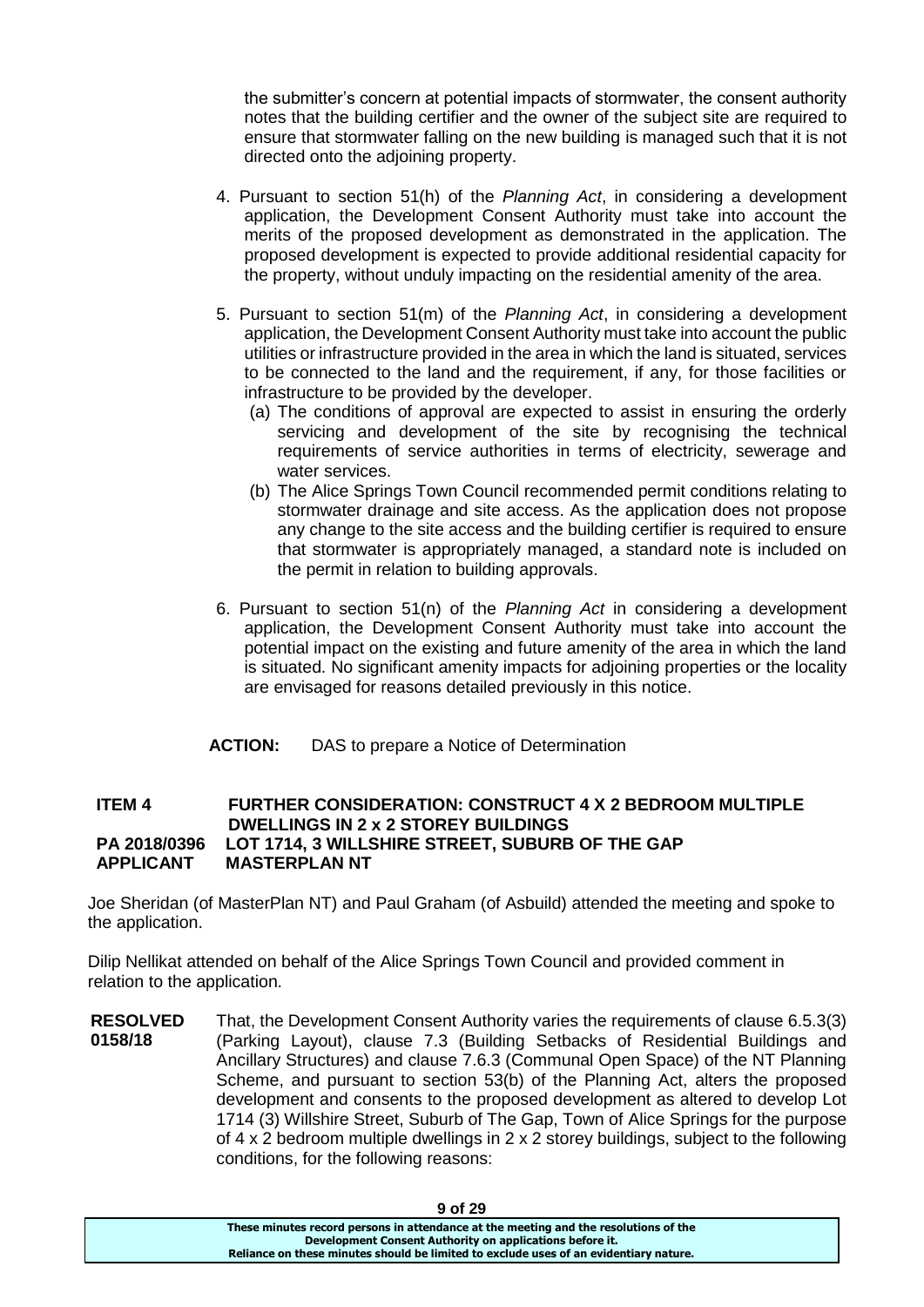the submitter's concern at potential impacts of stormwater, the consent authority notes that the building certifier and the owner of the subject site are required to ensure that stormwater falling on the new building is managed such that it is not directed onto the adjoining property.

- 4. Pursuant to section 51(h) of the *Planning Act*, in considering a development application, the Development Consent Authority must take into account the merits of the proposed development as demonstrated in the application. The proposed development is expected to provide additional residential capacity for the property, without unduly impacting on the residential amenity of the area.
- 5. Pursuant to section 51(m) of the *Planning Act*, in considering a development application, the Development Consent Authority must take into account the public utilities or infrastructure provided in the area in which the land is situated, services to be connected to the land and the requirement, if any, for those facilities or infrastructure to be provided by the developer.
	- (a) The conditions of approval are expected to assist in ensuring the orderly servicing and development of the site by recognising the technical requirements of service authorities in terms of electricity, sewerage and water services.
	- (b) The Alice Springs Town Council recommended permit conditions relating to stormwater drainage and site access. As the application does not propose any change to the site access and the building certifier is required to ensure that stormwater is appropriately managed, a standard note is included on the permit in relation to building approvals.
- 6. Pursuant to section 51(n) of the *Planning Act* in considering a development application, the Development Consent Authority must take into account the potential impact on the existing and future amenity of the area in which the land is situated. No significant amenity impacts for adjoining properties or the locality are envisaged for reasons detailed previously in this notice.
- **ACTION:** DAS to prepare a Notice of Determination

### **ITEM 4 FURTHER CONSIDERATION: CONSTRUCT 4 X 2 BEDROOM MULTIPLE DWELLINGS IN 2 x 2 STOREY BUILDINGS PA 2018/0396 LOT 1714, 3 WILLSHIRE STREET, SUBURB OF THE GAP APPLICANT MASTERPLAN NT**

Joe Sheridan (of MasterPlan NT) and Paul Graham (of Asbuild) attended the meeting and spoke to the application.

Dilip Nellikat attended on behalf of the Alice Springs Town Council and provided comment in relation to the application.

**RESOLVED 0158/18** That, the Development Consent Authority varies the requirements of clause 6.5.3(3) (Parking Layout), clause 7.3 (Building Setbacks of Residential Buildings and Ancillary Structures) and clause 7.6.3 (Communal Open Space) of the NT Planning Scheme, and pursuant to section 53(b) of the Planning Act, alters the proposed development and consents to the proposed development as altered to develop Lot 1714 (3) Willshire Street, Suburb of The Gap, Town of Alice Springs for the purpose of 4 x 2 bedroom multiple dwellings in 2 x 2 storey buildings, subject to the following conditions, for the following reasons: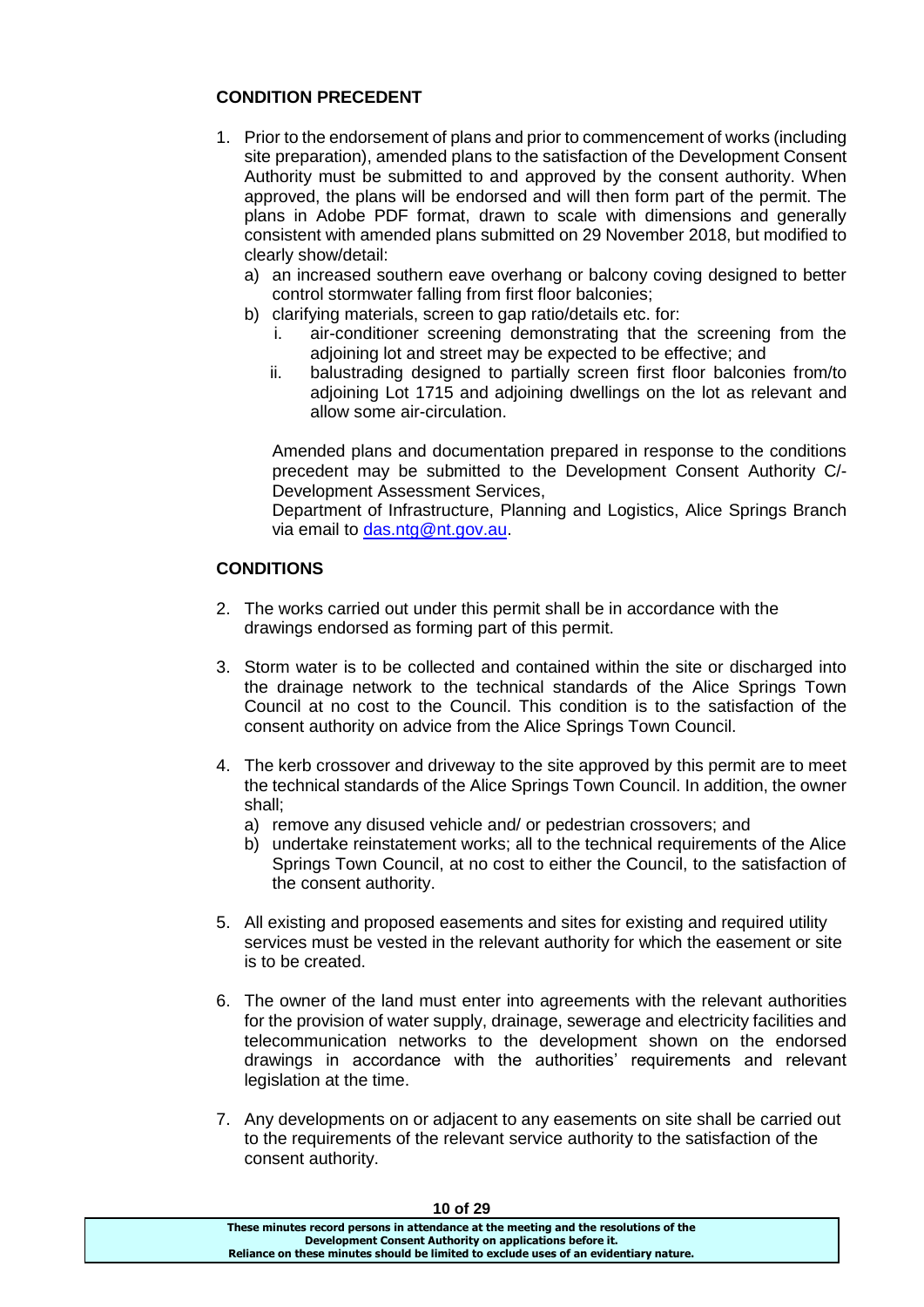# **CONDITION PRECEDENT**

- 1. Prior to the endorsement of plans and prior to commencement of works (including site preparation), amended plans to the satisfaction of the Development Consent Authority must be submitted to and approved by the consent authority. When approved, the plans will be endorsed and will then form part of the permit. The plans in Adobe PDF format, drawn to scale with dimensions and generally consistent with amended plans submitted on 29 November 2018, but modified to clearly show/detail:
	- a) an increased southern eave overhang or balcony coving designed to better control stormwater falling from first floor balconies;
	- b) clarifying materials, screen to gap ratio/details etc. for:
		- i. air-conditioner screening demonstrating that the screening from the adjoining lot and street may be expected to be effective; and
		- ii. balustrading designed to partially screen first floor balconies from/to adjoining Lot 1715 and adjoining dwellings on the lot as relevant and allow some air-circulation.

Amended plans and documentation prepared in response to the conditions precedent may be submitted to the Development Consent Authority C/- Development Assessment Services,

Department of Infrastructure, Planning and Logistics, Alice Springs Branch via email to [das.ntg@nt.gov.au.](mailto:das.ntg@nt.gov.au)

# **CONDITIONS**

- 2. The works carried out under this permit shall be in accordance with the drawings endorsed as forming part of this permit.
- 3. Storm water is to be collected and contained within the site or discharged into the drainage network to the technical standards of the Alice Springs Town Council at no cost to the Council. This condition is to the satisfaction of the consent authority on advice from the Alice Springs Town Council.
- 4. The kerb crossover and driveway to the site approved by this permit are to meet the technical standards of the Alice Springs Town Council. In addition, the owner shall;
	- a) remove any disused vehicle and/ or pedestrian crossovers; and
	- b) undertake reinstatement works; all to the technical requirements of the Alice Springs Town Council, at no cost to either the Council, to the satisfaction of the consent authority.
- 5. All existing and proposed easements and sites for existing and required utility services must be vested in the relevant authority for which the easement or site is to be created.
- 6. The owner of the land must enter into agreements with the relevant authorities for the provision of water supply, drainage, sewerage and electricity facilities and telecommunication networks to the development shown on the endorsed drawings in accordance with the authorities' requirements and relevant legislation at the time.
- 7. Any developments on or adjacent to any easements on site shall be carried out to the requirements of the relevant service authority to the satisfaction of the consent authority.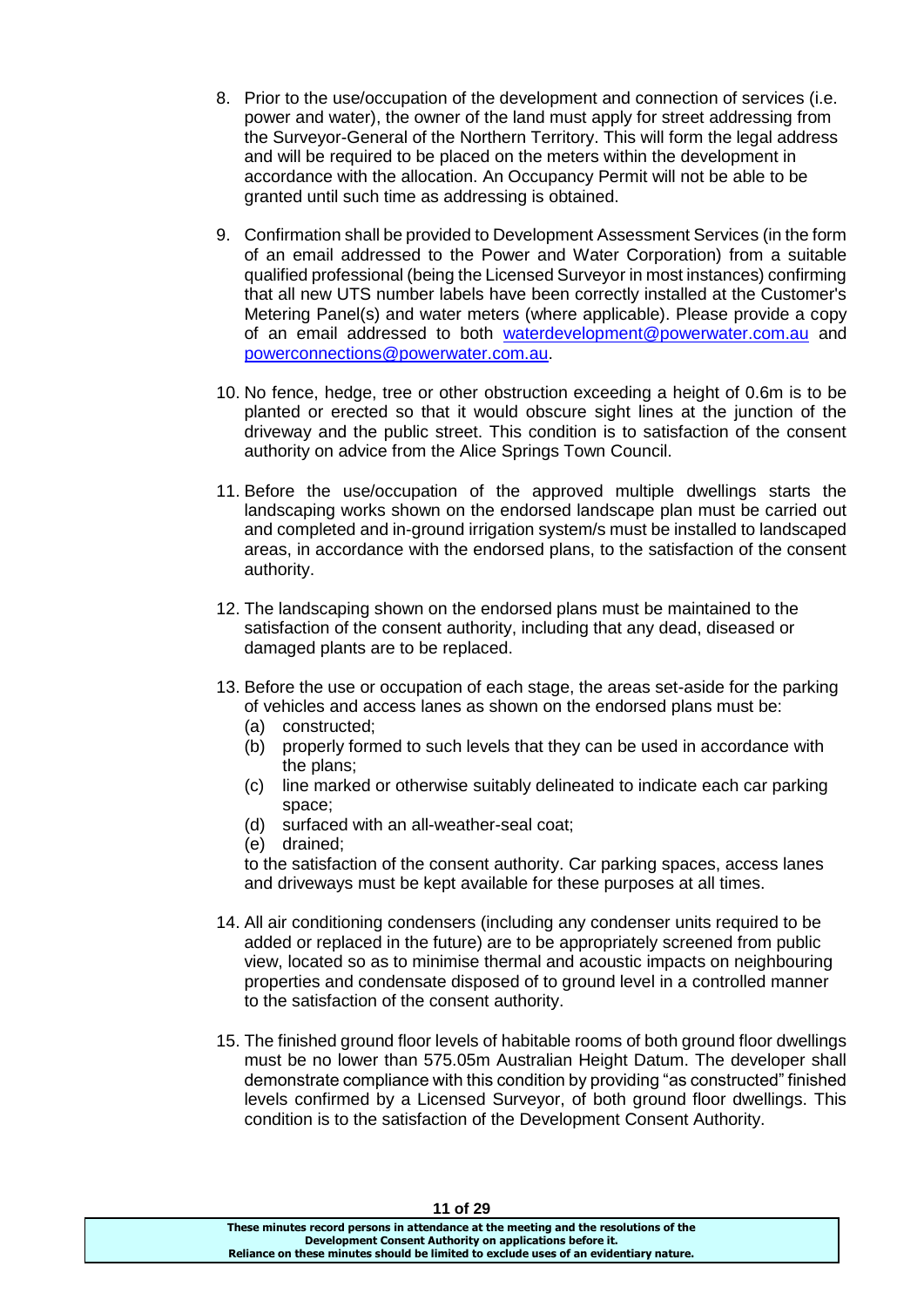- 8. Prior to the use/occupation of the development and connection of services (i.e. power and water), the owner of the land must apply for street addressing from the Surveyor-General of the Northern Territory. This will form the legal address and will be required to be placed on the meters within the development in accordance with the allocation. An Occupancy Permit will not be able to be granted until such time as addressing is obtained.
- 9. Confirmation shall be provided to Development Assessment Services (in the form of an email addressed to the Power and Water Corporation) from a suitable qualified professional (being the Licensed Surveyor in most instances) confirming that all new UTS number labels have been correctly installed at the Customer's Metering Panel(s) and water meters (where applicable). Please provide a copy of an email addressed to both [waterdevelopment@powerwater.com.au](mailto:waterdevelopment@powerwater.com.au) and [powerconnections@powerwater.com.au.](mailto:powerconnections@powerwater.com.au)
- 10. No fence, hedge, tree or other obstruction exceeding a height of 0.6m is to be planted or erected so that it would obscure sight lines at the junction of the driveway and the public street. This condition is to satisfaction of the consent authority on advice from the Alice Springs Town Council.
- 11. Before the use/occupation of the approved multiple dwellings starts the landscaping works shown on the endorsed landscape plan must be carried out and completed and in-ground irrigation system/s must be installed to landscaped areas, in accordance with the endorsed plans, to the satisfaction of the consent authority.
- 12. The landscaping shown on the endorsed plans must be maintained to the satisfaction of the consent authority, including that any dead, diseased or damaged plants are to be replaced.
- 13. Before the use or occupation of each stage, the areas set-aside for the parking of vehicles and access lanes as shown on the endorsed plans must be:
	- (a) constructed;
	- (b) properly formed to such levels that they can be used in accordance with the plans;
	- (c) line marked or otherwise suitably delineated to indicate each car parking space;
	- (d) surfaced with an all-weather-seal coat;
	- (e) drained;

to the satisfaction of the consent authority. Car parking spaces, access lanes and driveways must be kept available for these purposes at all times.

- 14. All air conditioning condensers (including any condenser units required to be added or replaced in the future) are to be appropriately screened from public view, located so as to minimise thermal and acoustic impacts on neighbouring properties and condensate disposed of to ground level in a controlled manner to the satisfaction of the consent authority.
- 15. The finished ground floor levels of habitable rooms of both ground floor dwellings must be no lower than 575.05m Australian Height Datum. The developer shall demonstrate compliance with this condition by providing "as constructed" finished levels confirmed by a Licensed Surveyor, of both ground floor dwellings. This condition is to the satisfaction of the Development Consent Authority.

| II VI 29                                                                              |  |
|---------------------------------------------------------------------------------------|--|
| These minutes record persons in attendance at the meeting and the resolutions of the  |  |
| Development Consent Authority on applications before it.                              |  |
| Reliance on these minutes should be limited to exclude uses of an evidentiary nature. |  |
|                                                                                       |  |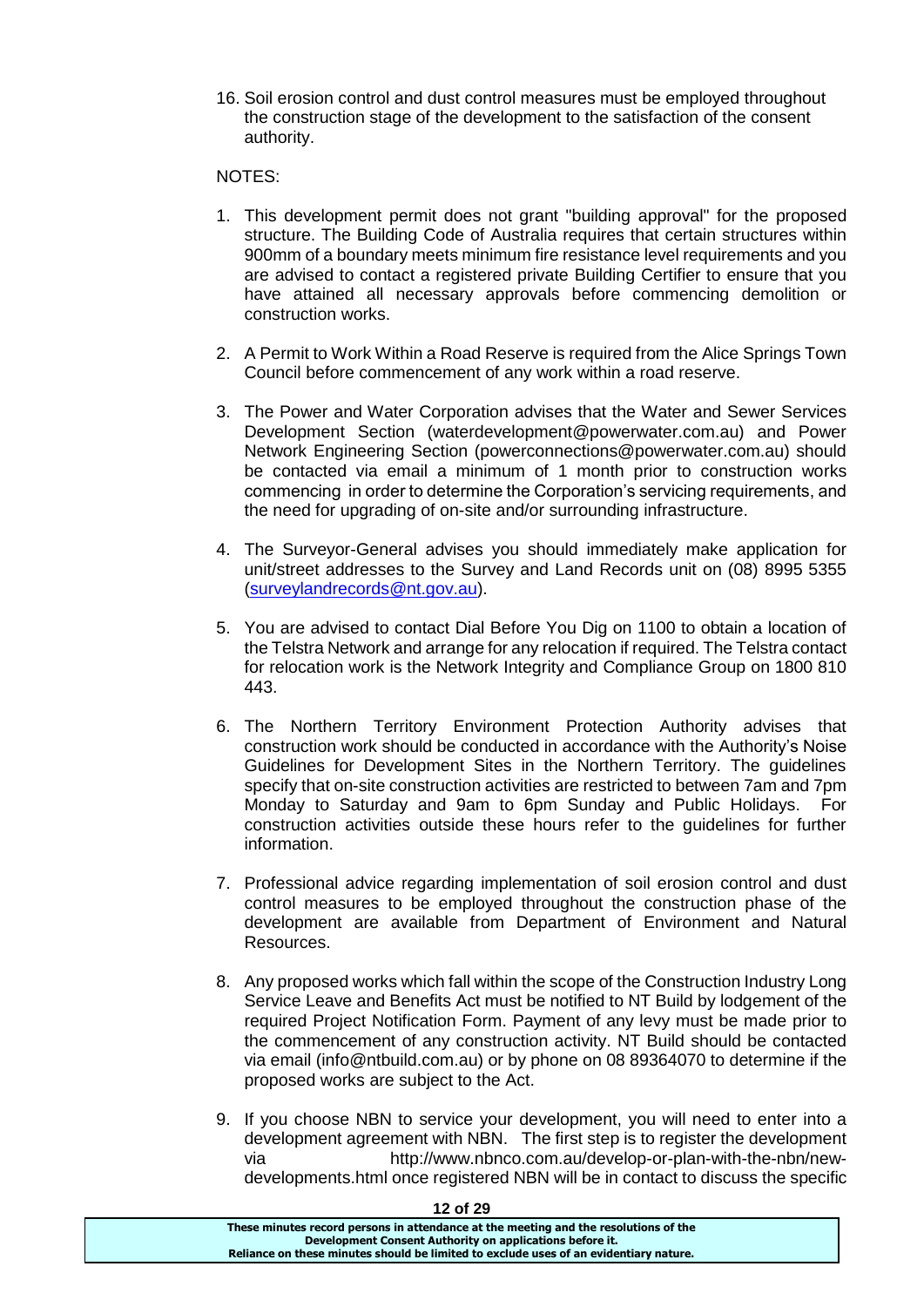16. Soil erosion control and dust control measures must be employed throughout the construction stage of the development to the satisfaction of the consent authority.

### NOTES:

- 1. This development permit does not grant "building approval" for the proposed structure. The Building Code of Australia requires that certain structures within 900mm of a boundary meets minimum fire resistance level requirements and you are advised to contact a registered private Building Certifier to ensure that you have attained all necessary approvals before commencing demolition or construction works.
- 2. A Permit to Work Within a Road Reserve is required from the Alice Springs Town Council before commencement of any work within a road reserve.
- 3. The Power and Water Corporation advises that the Water and Sewer Services Development Section (waterdevelopment@powerwater.com.au) and Power Network Engineering Section (powerconnections@powerwater.com.au) should be contacted via email a minimum of 1 month prior to construction works commencing in order to determine the Corporation's servicing requirements, and the need for upgrading of on-site and/or surrounding infrastructure.
- 4. The Surveyor-General advises you should immediately make application for unit/street addresses to the Survey and Land Records unit on (08) 8995 5355 [\(surveylandrecords@nt.gov.au\)](mailto:surveylandrecords@nt.gov.au).
- 5. You are advised to contact Dial Before You Dig on 1100 to obtain a location of the Telstra Network and arrange for any relocation if required. The Telstra contact for relocation work is the Network Integrity and Compliance Group on 1800 810 443.
- 6. The Northern Territory Environment Protection Authority advises that construction work should be conducted in accordance with the Authority's Noise Guidelines for Development Sites in the Northern Territory. The guidelines specify that on-site construction activities are restricted to between 7am and 7pm Monday to Saturday and 9am to 6pm Sunday and Public Holidays. For construction activities outside these hours refer to the guidelines for further information.
- 7. Professional advice regarding implementation of soil erosion control and dust control measures to be employed throughout the construction phase of the development are available from Department of Environment and Natural Resources.
- 8. Any proposed works which fall within the scope of the Construction Industry Long Service Leave and Benefits Act must be notified to NT Build by lodgement of the required Project Notification Form. Payment of any levy must be made prior to the commencement of any construction activity. NT Build should be contacted via email (info@ntbuild.com.au) or by phone on 08 89364070 to determine if the proposed works are subject to the Act.
- 9. If you choose NBN to service your development, you will need to enter into a development agreement with NBN. The first step is to register the development via http://www.nbnco.com.au/develop-or-plan-with-the-nbn/newdevelopments.html once registered NBN will be in contact to discuss the specific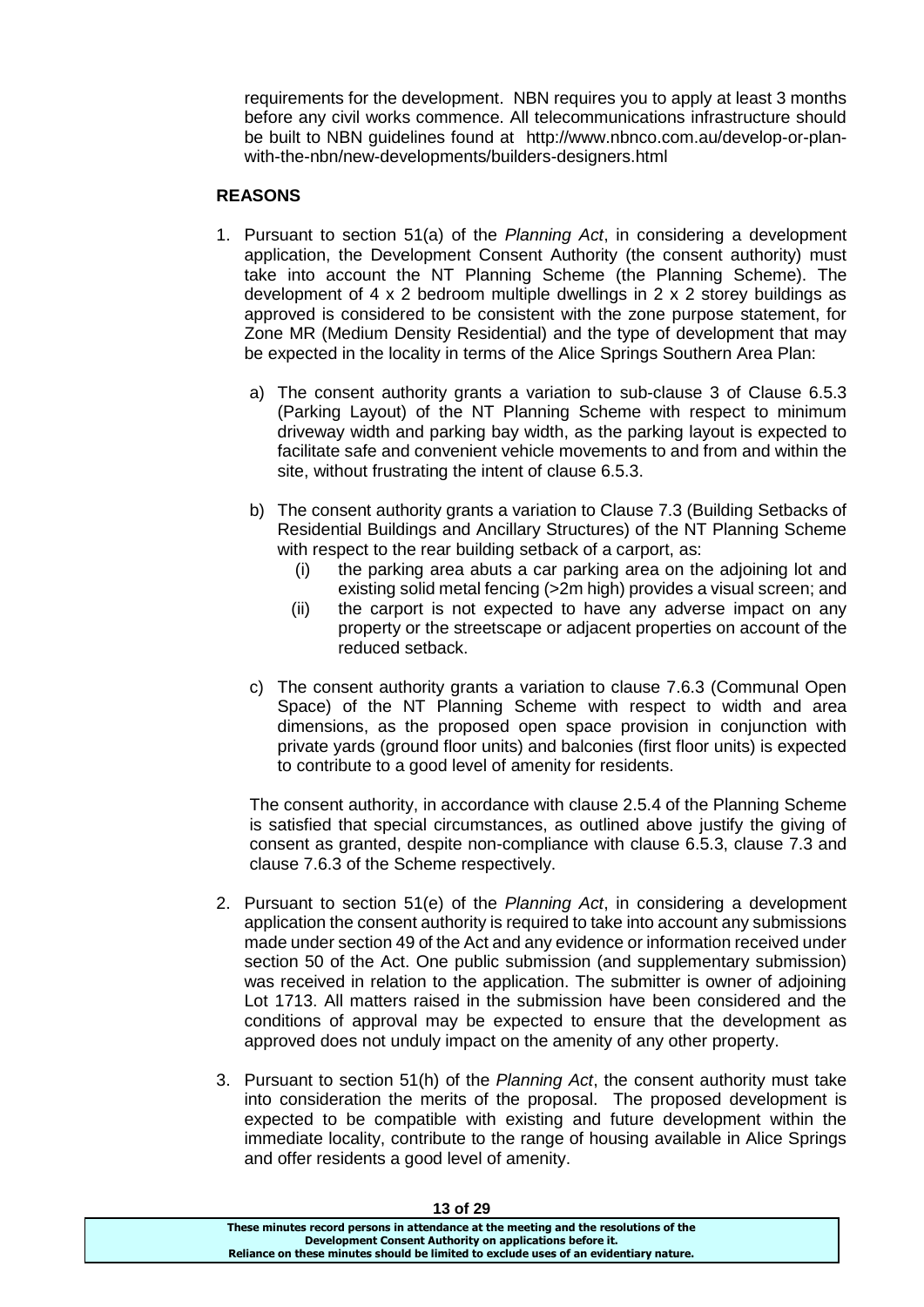requirements for the development. NBN requires you to apply at least 3 months before any civil works commence. All telecommunications infrastructure should be built to NBN guidelines found at http://www.nbnco.com.au/develop-or-planwith-the-nbn/new-developments/builders-designers.html

# **REASONS**

- 1. Pursuant to section 51(a) of the *Planning Act*, in considering a development application, the Development Consent Authority (the consent authority) must take into account the NT Planning Scheme (the Planning Scheme). The development of 4 x 2 bedroom multiple dwellings in 2 x 2 storey buildings as approved is considered to be consistent with the zone purpose statement, for Zone MR (Medium Density Residential) and the type of development that may be expected in the locality in terms of the Alice Springs Southern Area Plan:
	- a) The consent authority grants a variation to sub-clause 3 of Clause 6.5.3 (Parking Layout) of the NT Planning Scheme with respect to minimum driveway width and parking bay width, as the parking layout is expected to facilitate safe and convenient vehicle movements to and from and within the site, without frustrating the intent of clause 6.5.3.
	- b) The consent authority grants a variation to Clause 7.3 (Building Setbacks of Residential Buildings and Ancillary Structures) of the NT Planning Scheme with respect to the rear building setback of a carport, as:
		- (i) the parking area abuts a car parking area on the adjoining lot and existing solid metal fencing (>2m high) provides a visual screen; and
		- (ii) the carport is not expected to have any adverse impact on any property or the streetscape or adjacent properties on account of the reduced setback.
	- c) The consent authority grants a variation to clause 7.6.3 (Communal Open Space) of the NT Planning Scheme with respect to width and area dimensions, as the proposed open space provision in conjunction with private yards (ground floor units) and balconies (first floor units) is expected to contribute to a good level of amenity for residents.

The consent authority, in accordance with clause 2.5.4 of the Planning Scheme is satisfied that special circumstances, as outlined above justify the giving of consent as granted, despite non-compliance with clause 6.5.3, clause 7.3 and clause 7.6.3 of the Scheme respectively.

- 2. Pursuant to section 51(e) of the *Planning Act*, in considering a development application the consent authority is required to take into account any submissions made under section 49 of the Act and any evidence or information received under section 50 of the Act. One public submission (and supplementary submission) was received in relation to the application. The submitter is owner of adjoining Lot 1713. All matters raised in the submission have been considered and the conditions of approval may be expected to ensure that the development as approved does not unduly impact on the amenity of any other property.
- 3. Pursuant to section 51(h) of the *Planning Act*, the consent authority must take into consideration the merits of the proposal. The proposed development is expected to be compatible with existing and future development within the immediate locality, contribute to the range of housing available in Alice Springs and offer residents a good level of amenity.

| 3 טוט טו                                                                              |
|---------------------------------------------------------------------------------------|
| These minutes record persons in attendance at the meeting and the resolutions of the  |
| Development Consent Authority on applications before it.                              |
| Reliance on these minutes should be limited to exclude uses of an evidentiary nature. |
|                                                                                       |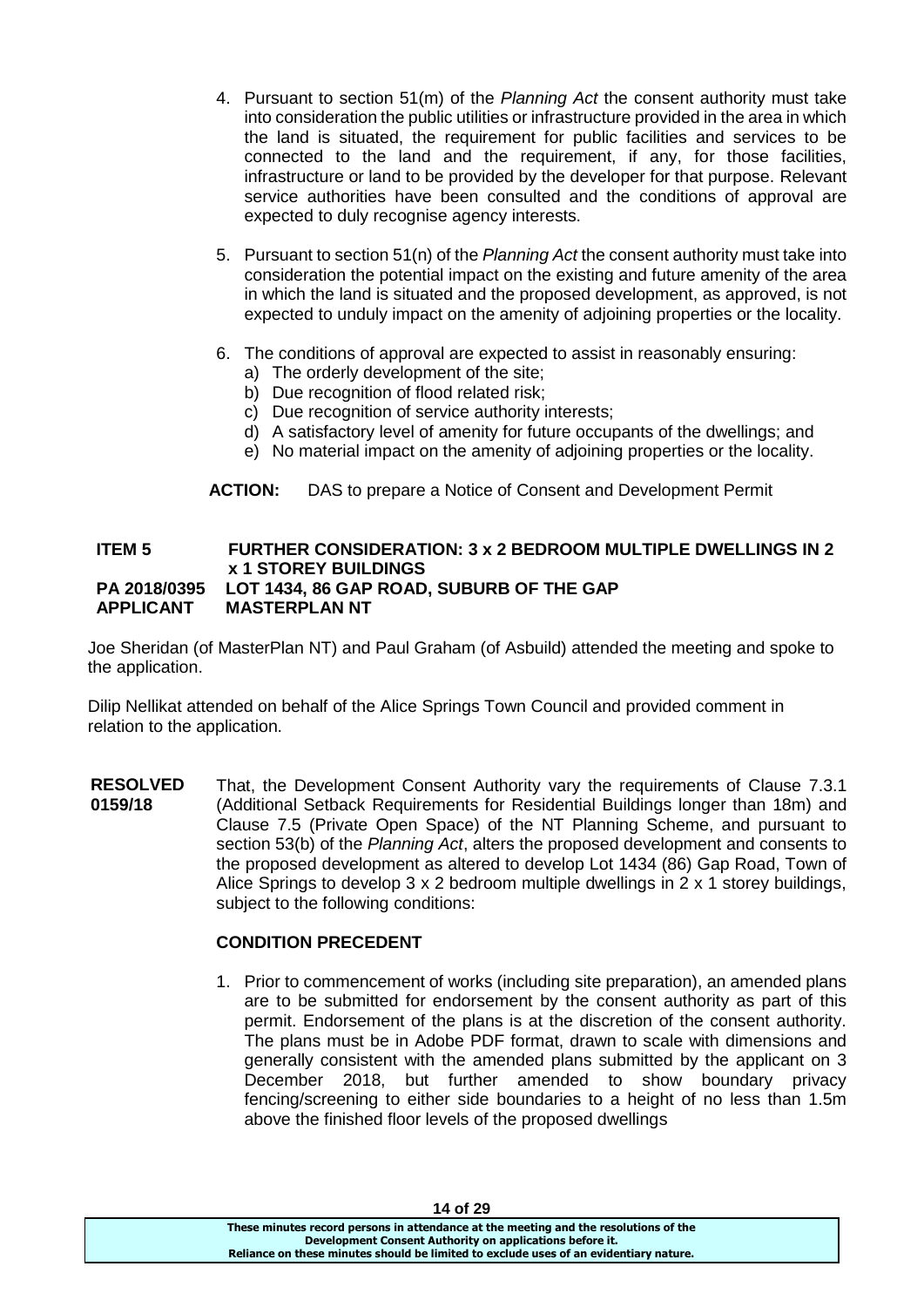- 4. Pursuant to section 51(m) of the *Planning Act* the consent authority must take into consideration the public utilities or infrastructure provided in the area in which the land is situated, the requirement for public facilities and services to be connected to the land and the requirement, if any, for those facilities, infrastructure or land to be provided by the developer for that purpose. Relevant service authorities have been consulted and the conditions of approval are expected to duly recognise agency interests.
- 5. Pursuant to section 51(n) of the *Planning Act* the consent authority must take into consideration the potential impact on the existing and future amenity of the area in which the land is situated and the proposed development, as approved, is not expected to unduly impact on the amenity of adjoining properties or the locality.
- 6. The conditions of approval are expected to assist in reasonably ensuring:
	- a) The orderly development of the site;
	- b) Due recognition of flood related risk;
	- c) Due recognition of service authority interests;
	- d) A satisfactory level of amenity for future occupants of the dwellings; and
	- e) No material impact on the amenity of adjoining properties or the locality.

**ACTION:** DAS to prepare a Notice of Consent and Development Permit

### **ITEM 5 FURTHER CONSIDERATION: 3 x 2 BEDROOM MULTIPLE DWELLINGS IN 2 x 1 STOREY BUILDINGS PA 2018/0395 LOT 1434, 86 GAP ROAD, SUBURB OF THE GAP APPLICANT MASTERPLAN NT**

Joe Sheridan (of MasterPlan NT) and Paul Graham (of Asbuild) attended the meeting and spoke to the application.

Dilip Nellikat attended on behalf of the Alice Springs Town Council and provided comment in relation to the application.

**RESOLVED 0159/18** That, the Development Consent Authority vary the requirements of Clause 7.3.1 (Additional Setback Requirements for Residential Buildings longer than 18m) and Clause 7.5 (Private Open Space) of the NT Planning Scheme, and pursuant to section 53(b) of the *Planning Act*, alters the proposed development and consents to the proposed development as altered to develop Lot 1434 (86) Gap Road, Town of Alice Springs to develop 3 x 2 bedroom multiple dwellings in 2 x 1 storey buildings, subject to the following conditions:

### **CONDITION PRECEDENT**

1. Prior to commencement of works (including site preparation), an amended plans are to be submitted for endorsement by the consent authority as part of this permit. Endorsement of the plans is at the discretion of the consent authority. The plans must be in Adobe PDF format, drawn to scale with dimensions and generally consistent with the amended plans submitted by the applicant on 3 December 2018, but further amended to show boundary privacy fencing/screening to either side boundaries to a height of no less than 1.5m above the finished floor levels of the proposed dwellings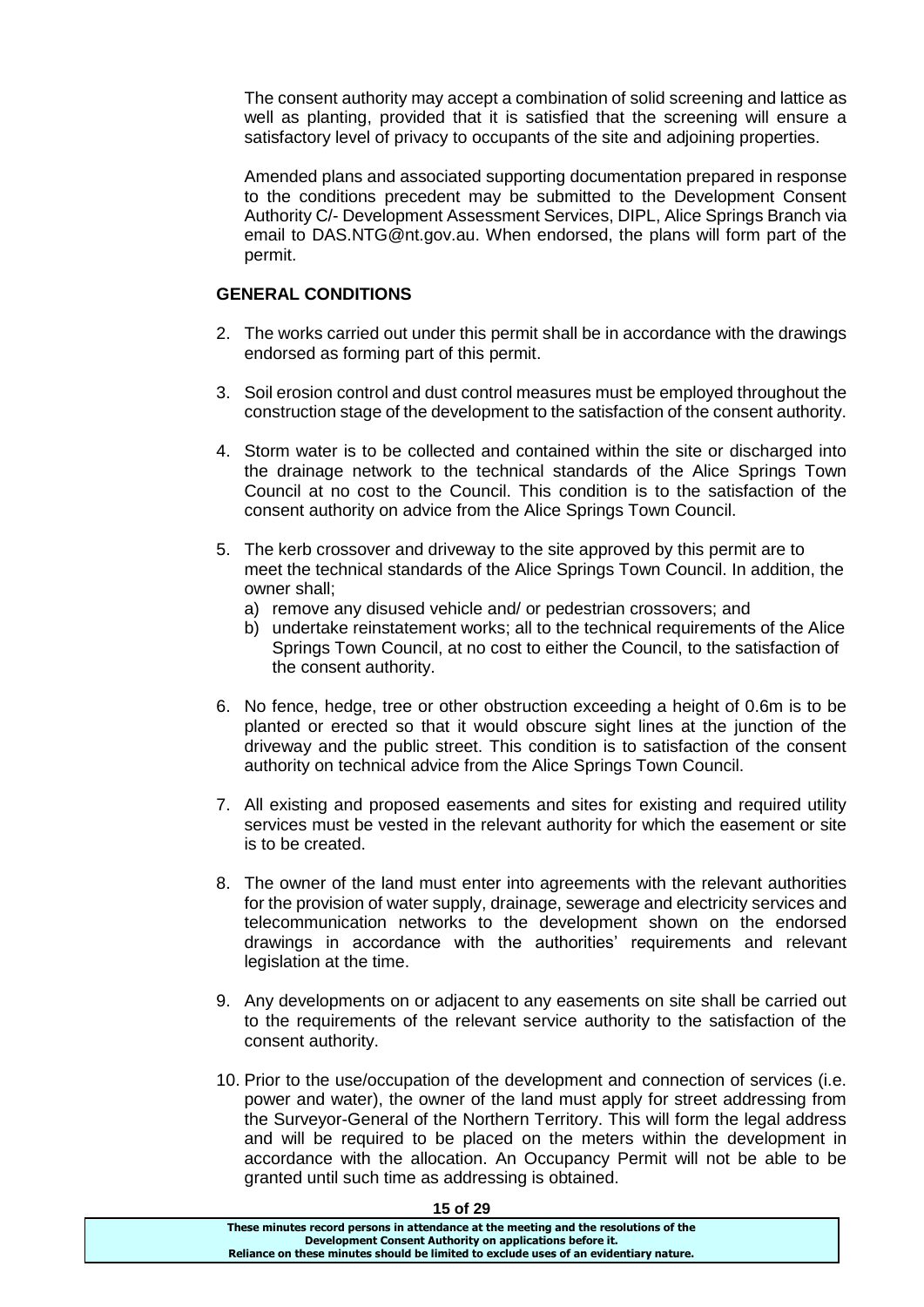The consent authority may accept a combination of solid screening and lattice as well as planting, provided that it is satisfied that the screening will ensure a satisfactory level of privacy to occupants of the site and adjoining properties.

Amended plans and associated supporting documentation prepared in response to the conditions precedent may be submitted to the Development Consent Authority C/- Development Assessment Services, DIPL, Alice Springs Branch via email to DAS.NTG@nt.gov.au. When endorsed, the plans will form part of the permit.

# **GENERAL CONDITIONS**

- 2. The works carried out under this permit shall be in accordance with the drawings endorsed as forming part of this permit.
- 3. Soil erosion control and dust control measures must be employed throughout the construction stage of the development to the satisfaction of the consent authority.
- 4. Storm water is to be collected and contained within the site or discharged into the drainage network to the technical standards of the Alice Springs Town Council at no cost to the Council. This condition is to the satisfaction of the consent authority on advice from the Alice Springs Town Council.
- 5. The kerb crossover and driveway to the site approved by this permit are to meet the technical standards of the Alice Springs Town Council. In addition, the owner shall;
	- a) remove any disused vehicle and/ or pedestrian crossovers; and
	- b) undertake reinstatement works; all to the technical requirements of the Alice Springs Town Council, at no cost to either the Council, to the satisfaction of the consent authority.
- 6. No fence, hedge, tree or other obstruction exceeding a height of 0.6m is to be planted or erected so that it would obscure sight lines at the junction of the driveway and the public street. This condition is to satisfaction of the consent authority on technical advice from the Alice Springs Town Council.
- 7. All existing and proposed easements and sites for existing and required utility services must be vested in the relevant authority for which the easement or site is to be created.
- 8. The owner of the land must enter into agreements with the relevant authorities for the provision of water supply, drainage, sewerage and electricity services and telecommunication networks to the development shown on the endorsed drawings in accordance with the authorities' requirements and relevant legislation at the time.
- 9. Any developments on or adjacent to any easements on site shall be carried out to the requirements of the relevant service authority to the satisfaction of the consent authority.
- 10. Prior to the use/occupation of the development and connection of services (i.e. power and water), the owner of the land must apply for street addressing from the Surveyor-General of the Northern Territory. This will form the legal address and will be required to be placed on the meters within the development in accordance with the allocation. An Occupancy Permit will not be able to be granted until such time as addressing is obtained.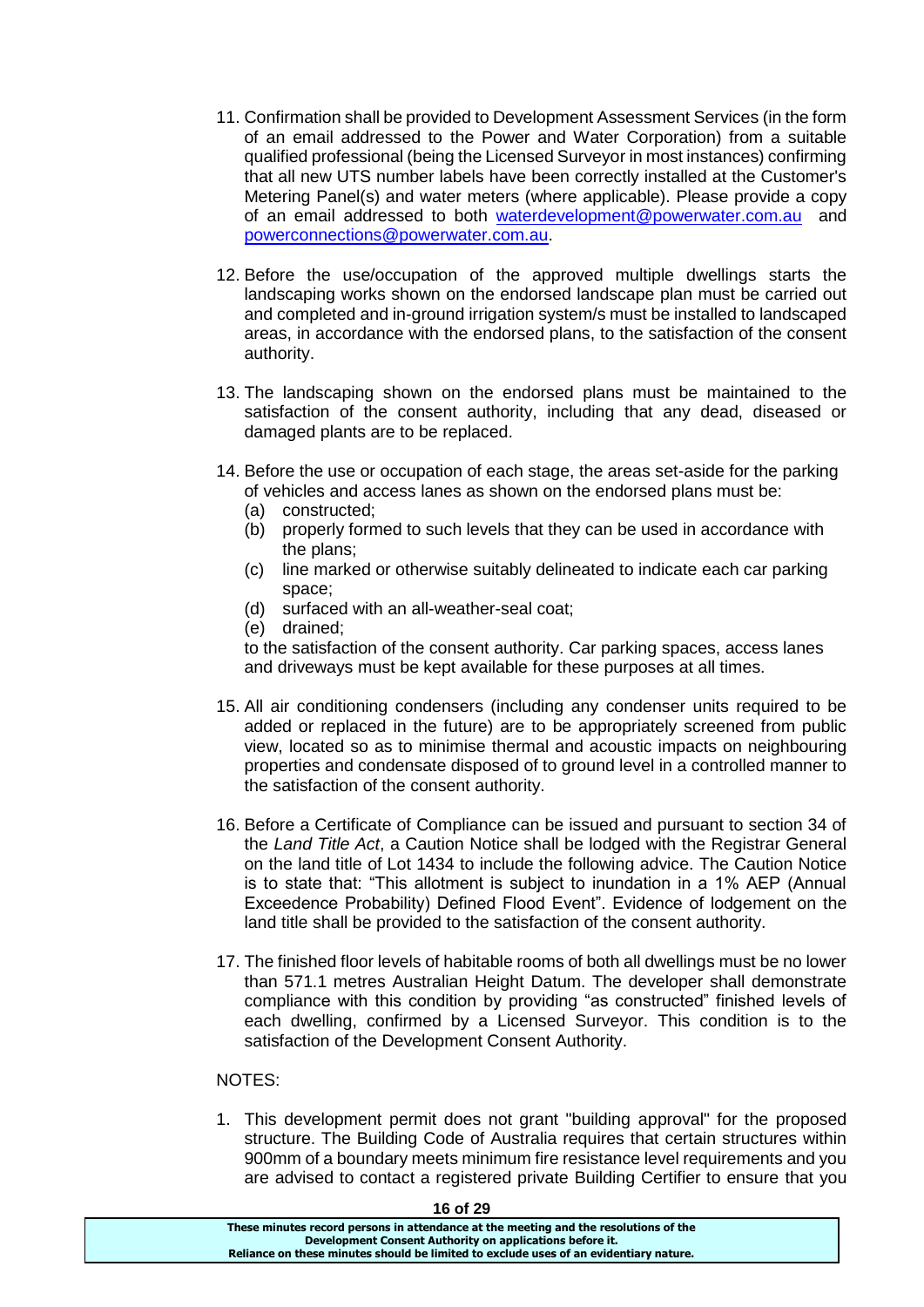- 11. Confirmation shall be provided to Development Assessment Services (in the form of an email addressed to the Power and Water Corporation) from a suitable qualified professional (being the Licensed Surveyor in most instances) confirming that all new UTS number labels have been correctly installed at the Customer's Metering Panel(s) and water meters (where applicable). Please provide a copy of an email addressed to both [waterdevelopment@powerwater.com.au](mailto:waterdevelopment@powerwater.com.au) and [powerconnections@powerwater.com.au.](mailto:powerconnections@powerwater.com.au)
- 12. Before the use/occupation of the approved multiple dwellings starts the landscaping works shown on the endorsed landscape plan must be carried out and completed and in-ground irrigation system/s must be installed to landscaped areas, in accordance with the endorsed plans, to the satisfaction of the consent authority.
- 13. The landscaping shown on the endorsed plans must be maintained to the satisfaction of the consent authority, including that any dead, diseased or damaged plants are to be replaced.
- 14. Before the use or occupation of each stage, the areas set-aside for the parking of vehicles and access lanes as shown on the endorsed plans must be:
	- (a) constructed;
	- (b) properly formed to such levels that they can be used in accordance with the plans;
	- (c) line marked or otherwise suitably delineated to indicate each car parking space;
	- (d) surfaced with an all-weather-seal coat;
	- (e) drained;

to the satisfaction of the consent authority. Car parking spaces, access lanes and driveways must be kept available for these purposes at all times.

- 15. All air conditioning condensers (including any condenser units required to be added or replaced in the future) are to be appropriately screened from public view, located so as to minimise thermal and acoustic impacts on neighbouring properties and condensate disposed of to ground level in a controlled manner to the satisfaction of the consent authority.
- 16. Before a Certificate of Compliance can be issued and pursuant to section 34 of the *Land Title Act*, a Caution Notice shall be lodged with the Registrar General on the land title of Lot 1434 to include the following advice. The Caution Notice is to state that: "This allotment is subject to inundation in a 1% AEP (Annual Exceedence Probability) Defined Flood Event". Evidence of lodgement on the land title shall be provided to the satisfaction of the consent authority.
- 17. The finished floor levels of habitable rooms of both all dwellings must be no lower than 571.1 metres Australian Height Datum. The developer shall demonstrate compliance with this condition by providing "as constructed" finished levels of each dwelling, confirmed by a Licensed Surveyor. This condition is to the satisfaction of the Development Consent Authority.

# NOTES:

1. This development permit does not grant "building approval" for the proposed structure. The Building Code of Australia requires that certain structures within 900mm of a boundary meets minimum fire resistance level requirements and you are advised to contact a registered private Building Certifier to ensure that you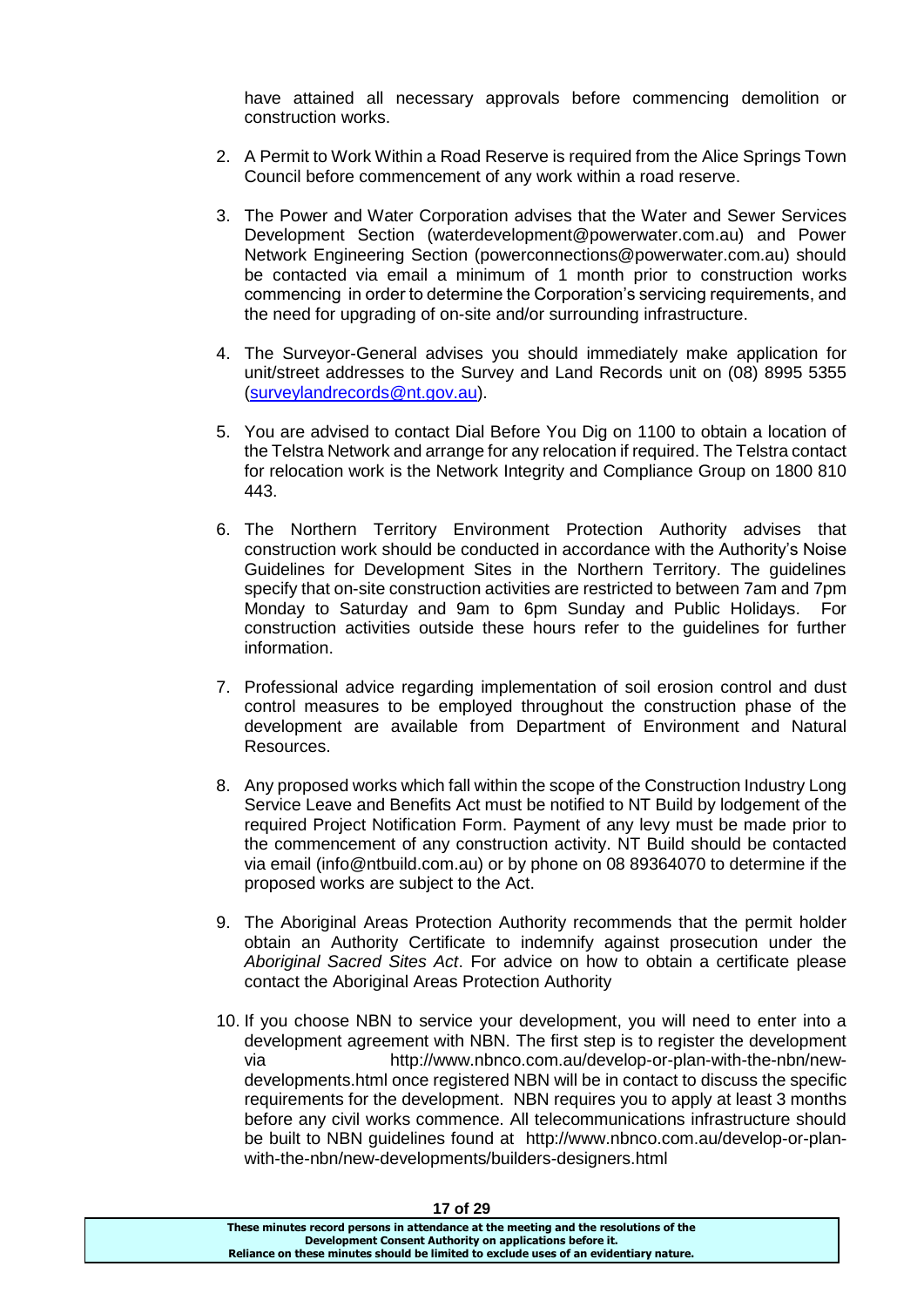have attained all necessary approvals before commencing demolition or construction works.

- 2. A Permit to Work Within a Road Reserve is required from the Alice Springs Town Council before commencement of any work within a road reserve.
- 3. The Power and Water Corporation advises that the Water and Sewer Services Development Section (waterdevelopment@powerwater.com.au) and Power Network Engineering Section (powerconnections@powerwater.com.au) should be contacted via email a minimum of 1 month prior to construction works commencing in order to determine the Corporation's servicing requirements, and the need for upgrading of on-site and/or surrounding infrastructure.
- 4. The Surveyor-General advises you should immediately make application for unit/street addresses to the Survey and Land Records unit on (08) 8995 5355 [\(surveylandrecords@nt.gov.au\)](mailto:surveylandrecords@nt.gov.au).
- 5. You are advised to contact Dial Before You Dig on 1100 to obtain a location of the Telstra Network and arrange for any relocation if required. The Telstra contact for relocation work is the Network Integrity and Compliance Group on 1800 810 443.
- 6. The Northern Territory Environment Protection Authority advises that construction work should be conducted in accordance with the Authority's Noise Guidelines for Development Sites in the Northern Territory. The guidelines specify that on-site construction activities are restricted to between 7am and 7pm Monday to Saturday and 9am to 6pm Sunday and Public Holidays. For construction activities outside these hours refer to the guidelines for further information.
- 7. Professional advice regarding implementation of soil erosion control and dust control measures to be employed throughout the construction phase of the development are available from Department of Environment and Natural Resources.
- 8. Any proposed works which fall within the scope of the Construction Industry Long Service Leave and Benefits Act must be notified to NT Build by lodgement of the required Project Notification Form. Payment of any levy must be made prior to the commencement of any construction activity. NT Build should be contacted via email (info@ntbuild.com.au) or by phone on 08 89364070 to determine if the proposed works are subject to the Act.
- 9. The Aboriginal Areas Protection Authority recommends that the permit holder obtain an Authority Certificate to indemnify against prosecution under the *Aboriginal Sacred Sites Act*. For advice on how to obtain a certificate please contact the Aboriginal Areas Protection Authority
- 10. If you choose NBN to service your development, you will need to enter into a development agreement with NBN. The first step is to register the development via http://www.nbnco.com.au/develop-or-plan-with-the-nbn/newdevelopments.html once registered NBN will be in contact to discuss the specific requirements for the development. NBN requires you to apply at least 3 months before any civil works commence. All telecommunications infrastructure should be built to NBN guidelines found at http://www.nbnco.com.au/develop-or-planwith-the-nbn/new-developments/builders-designers.html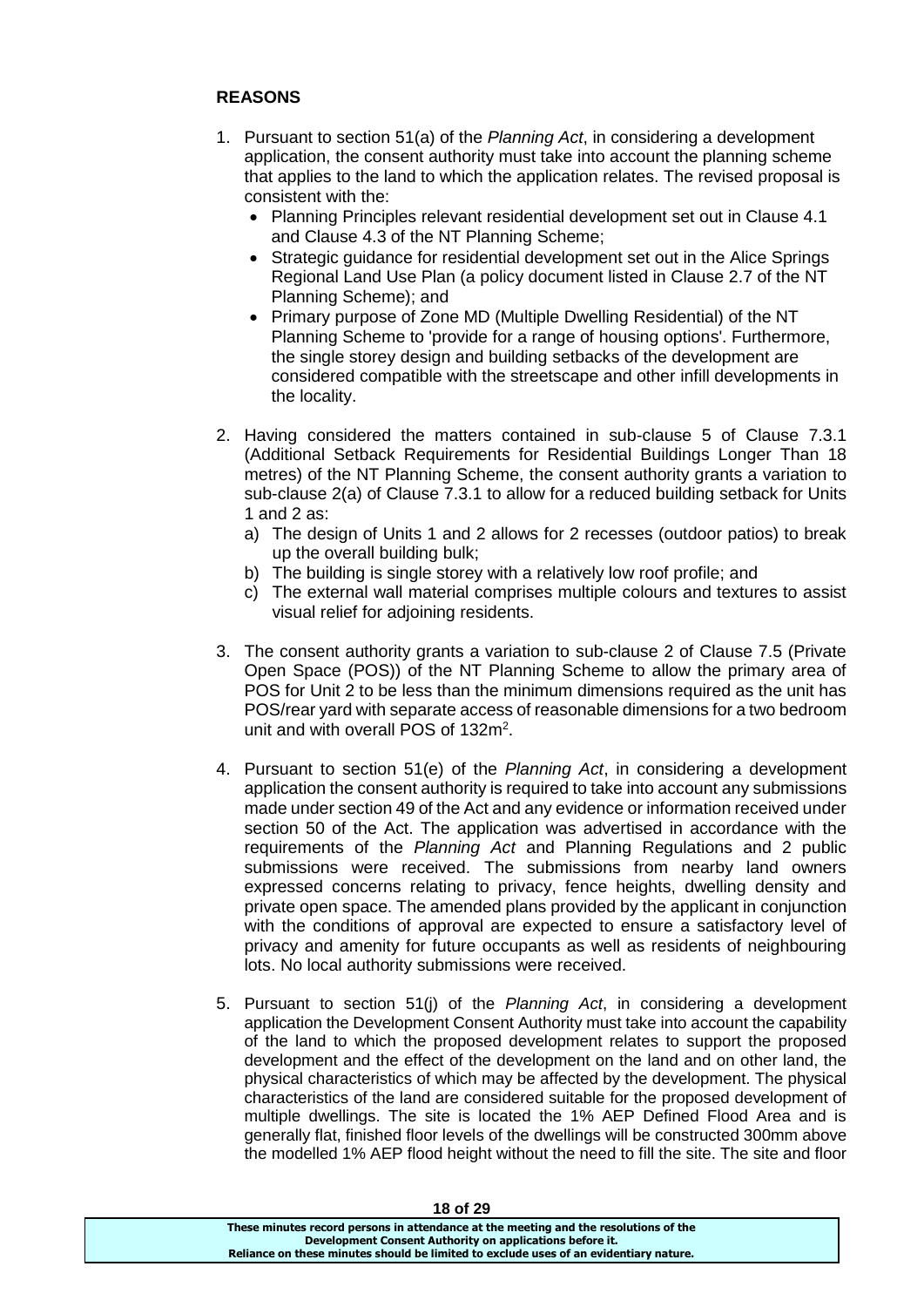# **REASONS**

- 1. Pursuant to section 51(a) of the *Planning Act*, in considering a development application, the consent authority must take into account the planning scheme that applies to the land to which the application relates. The revised proposal is consistent with the:
	- Planning Principles relevant residential development set out in Clause 4.1 and Clause 4.3 of the NT Planning Scheme;
	- Strategic guidance for residential development set out in the Alice Springs Regional Land Use Plan (a policy document listed in Clause 2.7 of the NT Planning Scheme); and
	- Primary purpose of Zone MD (Multiple Dwelling Residential) of the NT Planning Scheme to 'provide for a range of housing options'. Furthermore, the single storey design and building setbacks of the development are considered compatible with the streetscape and other infill developments in the locality.
- 2. Having considered the matters contained in sub-clause 5 of Clause 7.3.1 (Additional Setback Requirements for Residential Buildings Longer Than 18 metres) of the NT Planning Scheme, the consent authority grants a variation to sub-clause 2(a) of Clause 7.3.1 to allow for a reduced building setback for Units 1 and 2 as:
	- a) The design of Units 1 and 2 allows for 2 recesses (outdoor patios) to break up the overall building bulk;
	- b) The building is single storey with a relatively low roof profile; and
	- c) The external wall material comprises multiple colours and textures to assist visual relief for adjoining residents.
- 3. The consent authority grants a variation to sub-clause 2 of Clause 7.5 (Private Open Space (POS)) of the NT Planning Scheme to allow the primary area of POS for Unit 2 to be less than the minimum dimensions required as the unit has POS/rear yard with separate access of reasonable dimensions for a two bedroom unit and with overall POS of 132m<sup>2</sup>.
- 4. Pursuant to section 51(e) of the *Planning Act*, in considering a development application the consent authority is required to take into account any submissions made under section 49 of the Act and any evidence or information received under section 50 of the Act. The application was advertised in accordance with the requirements of the *Planning Act* and Planning Regulations and 2 public submissions were received. The submissions from nearby land owners expressed concerns relating to privacy, fence heights, dwelling density and private open space. The amended plans provided by the applicant in conjunction with the conditions of approval are expected to ensure a satisfactory level of privacy and amenity for future occupants as well as residents of neighbouring lots. No local authority submissions were received.
- 5. Pursuant to section 51(j) of the *Planning Act*, in considering a development application the Development Consent Authority must take into account the capability of the land to which the proposed development relates to support the proposed development and the effect of the development on the land and on other land, the physical characteristics of which may be affected by the development. The physical characteristics of the land are considered suitable for the proposed development of multiple dwellings. The site is located the 1% AEP Defined Flood Area and is generally flat, finished floor levels of the dwellings will be constructed 300mm above the modelled 1% AEP flood height without the need to fill the site. The site and floor

| 10 UI 29                                                                              |  |
|---------------------------------------------------------------------------------------|--|
| These minutes record persons in attendance at the meeting and the resolutions of the  |  |
| Development Consent Authority on applications before it.                              |  |
| Reliance on these minutes should be limited to exclude uses of an evidentiary nature. |  |
|                                                                                       |  |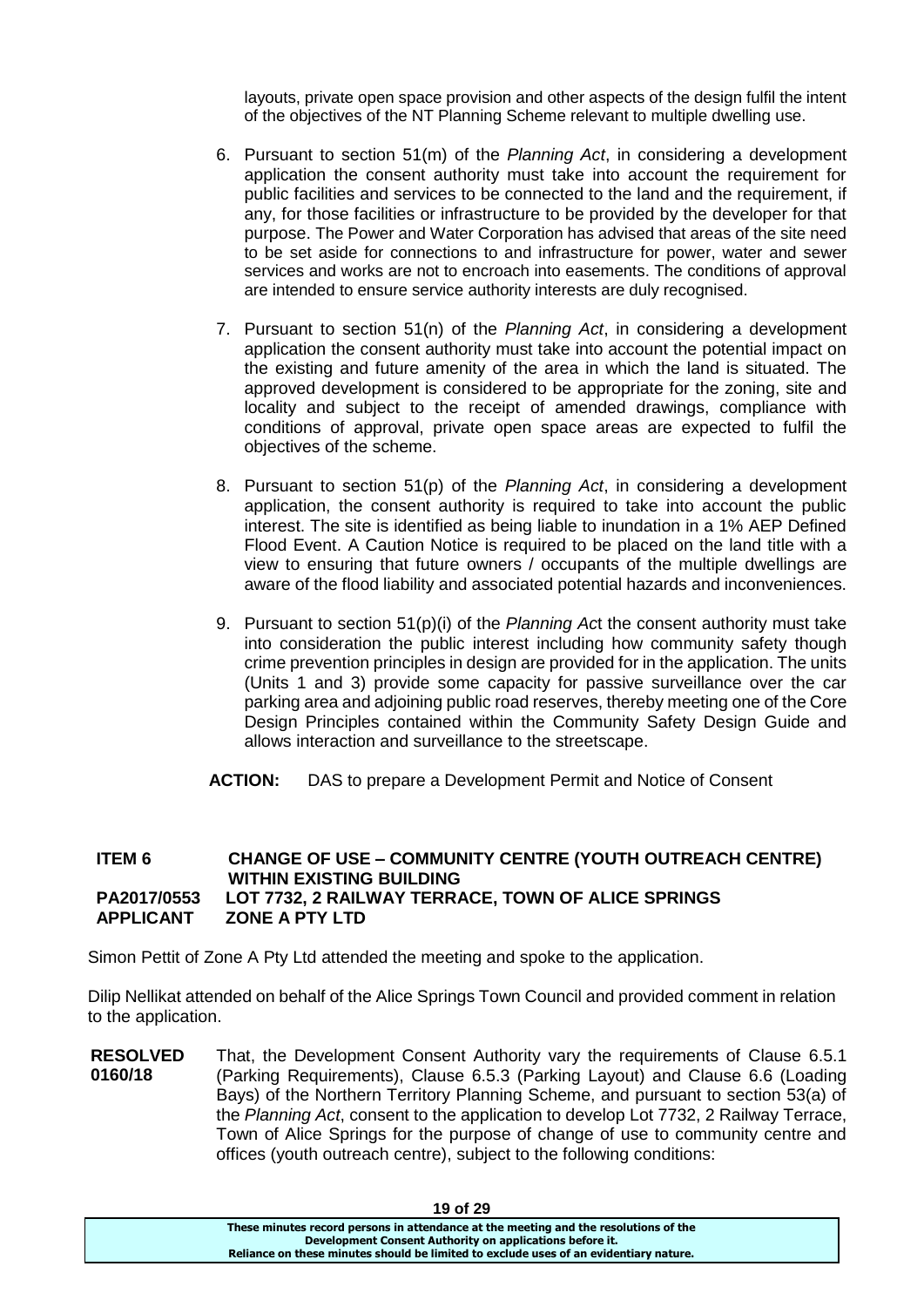layouts, private open space provision and other aspects of the design fulfil the intent of the objectives of the NT Planning Scheme relevant to multiple dwelling use.

- 6. Pursuant to section 51(m) of the *Planning Act*, in considering a development application the consent authority must take into account the requirement for public facilities and services to be connected to the land and the requirement, if any, for those facilities or infrastructure to be provided by the developer for that purpose. The Power and Water Corporation has advised that areas of the site need to be set aside for connections to and infrastructure for power, water and sewer services and works are not to encroach into easements. The conditions of approval are intended to ensure service authority interests are duly recognised.
- 7. Pursuant to section 51(n) of the *Planning Act*, in considering a development application the consent authority must take into account the potential impact on the existing and future amenity of the area in which the land is situated. The approved development is considered to be appropriate for the zoning, site and locality and subject to the receipt of amended drawings, compliance with conditions of approval, private open space areas are expected to fulfil the objectives of the scheme.
- 8. Pursuant to section 51(p) of the *Planning Act*, in considering a development application, the consent authority is required to take into account the public interest. The site is identified as being liable to inundation in a 1% AEP Defined Flood Event. A Caution Notice is required to be placed on the land title with a view to ensuring that future owners / occupants of the multiple dwellings are aware of the flood liability and associated potential hazards and inconveniences.
- 9. Pursuant to section 51(p)(i) of the *Planning Ac*t the consent authority must take into consideration the public interest including how community safety though crime prevention principles in design are provided for in the application. The units (Units 1 and 3) provide some capacity for passive surveillance over the car parking area and adjoining public road reserves, thereby meeting one of the Core Design Principles contained within the Community Safety Design Guide and allows interaction and surveillance to the streetscape.
- **ACTION:** DAS to prepare a Development Permit and Notice of Consent

### **ITEM 6 CHANGE OF USE – COMMUNITY CENTRE (YOUTH OUTREACH CENTRE) WITHIN EXISTING BUILDING PA2017/0553 LOT 7732, 2 RAILWAY TERRACE, TOWN OF ALICE SPRINGS APPLICANT ZONE A PTY LTD**

Simon Pettit of Zone A Pty Ltd attended the meeting and spoke to the application.

Dilip Nellikat attended on behalf of the Alice Springs Town Council and provided comment in relation to the application.

**RESOLVED 0160/18** That, the Development Consent Authority vary the requirements of Clause 6.5.1 (Parking Requirements), Clause 6.5.3 (Parking Layout) and Clause 6.6 (Loading Bays) of the Northern Territory Planning Scheme, and pursuant to section 53(a) of the *Planning Act*, consent to the application to develop Lot 7732, 2 Railway Terrace, Town of Alice Springs for the purpose of change of use to community centre and offices (youth outreach centre), subject to the following conditions:

| 19 UI 29                                                                              |  |
|---------------------------------------------------------------------------------------|--|
| These minutes record persons in attendance at the meeting and the resolutions of the  |  |
| Development Consent Authority on applications before it.                              |  |
| Reliance on these minutes should be limited to exclude uses of an evidentiary nature. |  |
|                                                                                       |  |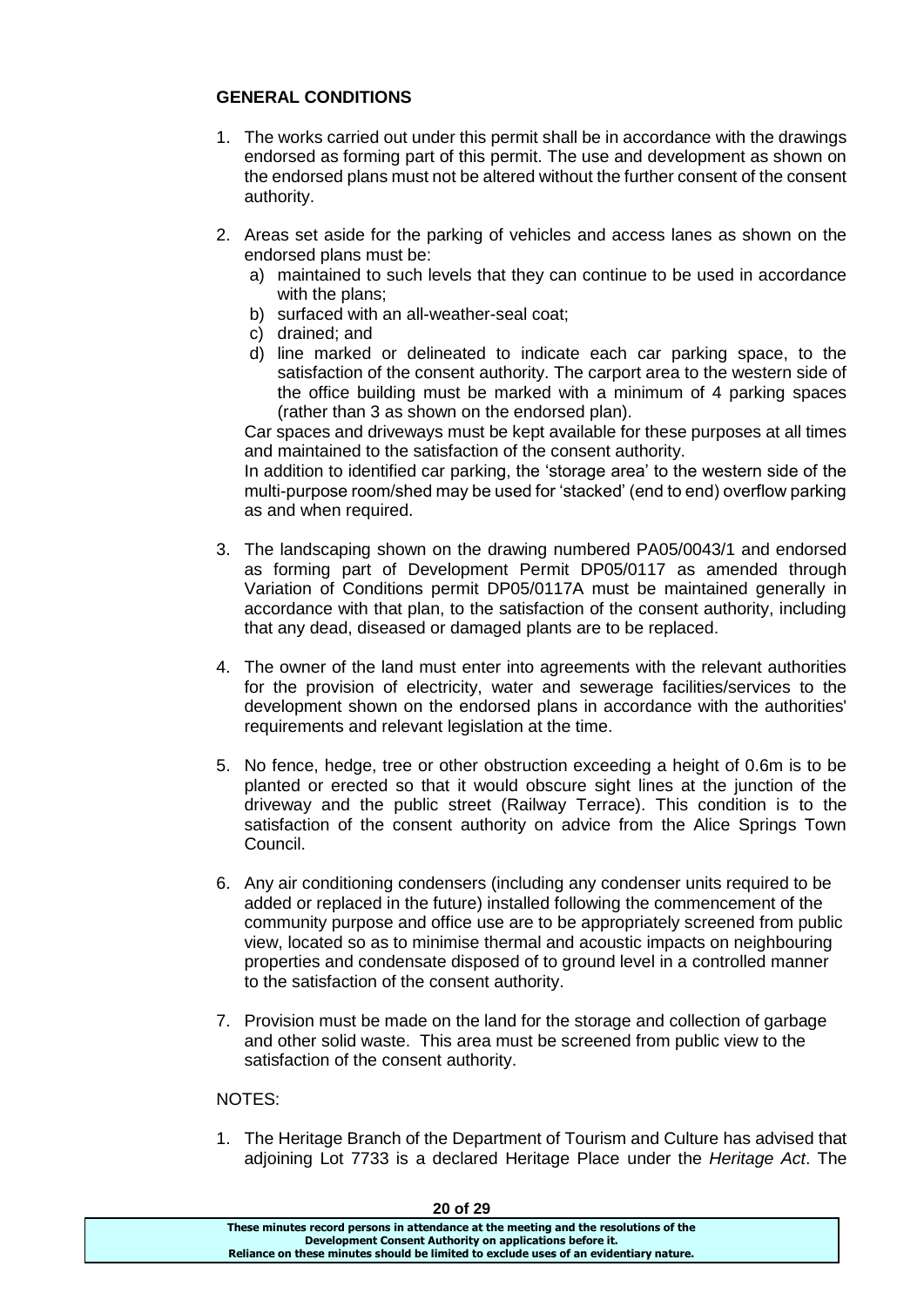# **GENERAL CONDITIONS**

- 1. The works carried out under this permit shall be in accordance with the drawings endorsed as forming part of this permit. The use and development as shown on the endorsed plans must not be altered without the further consent of the consent authority.
- 2. Areas set aside for the parking of vehicles and access lanes as shown on the endorsed plans must be:
	- a) maintained to such levels that they can continue to be used in accordance with the plans;
	- b) surfaced with an all-weather-seal coat;
	- c) drained; and
	- d) line marked or delineated to indicate each car parking space, to the satisfaction of the consent authority. The carport area to the western side of the office building must be marked with a minimum of 4 parking spaces (rather than 3 as shown on the endorsed plan).

Car spaces and driveways must be kept available for these purposes at all times and maintained to the satisfaction of the consent authority.

In addition to identified car parking, the 'storage area' to the western side of the multi-purpose room/shed may be used for 'stacked' (end to end) overflow parking as and when required.

- 3. The landscaping shown on the drawing numbered PA05/0043/1 and endorsed as forming part of Development Permit DP05/0117 as amended through Variation of Conditions permit DP05/0117A must be maintained generally in accordance with that plan, to the satisfaction of the consent authority, including that any dead, diseased or damaged plants are to be replaced.
- 4. The owner of the land must enter into agreements with the relevant authorities for the provision of electricity, water and sewerage facilities/services to the development shown on the endorsed plans in accordance with the authorities' requirements and relevant legislation at the time.
- 5. No fence, hedge, tree or other obstruction exceeding a height of 0.6m is to be planted or erected so that it would obscure sight lines at the junction of the driveway and the public street (Railway Terrace). This condition is to the satisfaction of the consent authority on advice from the Alice Springs Town Council.
- 6. Any air conditioning condensers (including any condenser units required to be added or replaced in the future) installed following the commencement of the community purpose and office use are to be appropriately screened from public view, located so as to minimise thermal and acoustic impacts on neighbouring properties and condensate disposed of to ground level in a controlled manner to the satisfaction of the consent authority.
- 7. Provision must be made on the land for the storage and collection of garbage and other solid waste. This area must be screened from public view to the satisfaction of the consent authority.

# NOTES:

1. The Heritage Branch of the Department of Tourism and Culture has advised that adjoining Lot 7733 is a declared Heritage Place under the *Heritage Act*. The

| ZU OI ZY                                                                              |
|---------------------------------------------------------------------------------------|
| These minutes record persons in attendance at the meeting and the resolutions of the  |
| Development Consent Authority on applications before it.                              |
| Reliance on these minutes should be limited to exclude uses of an evidentiary nature. |
|                                                                                       |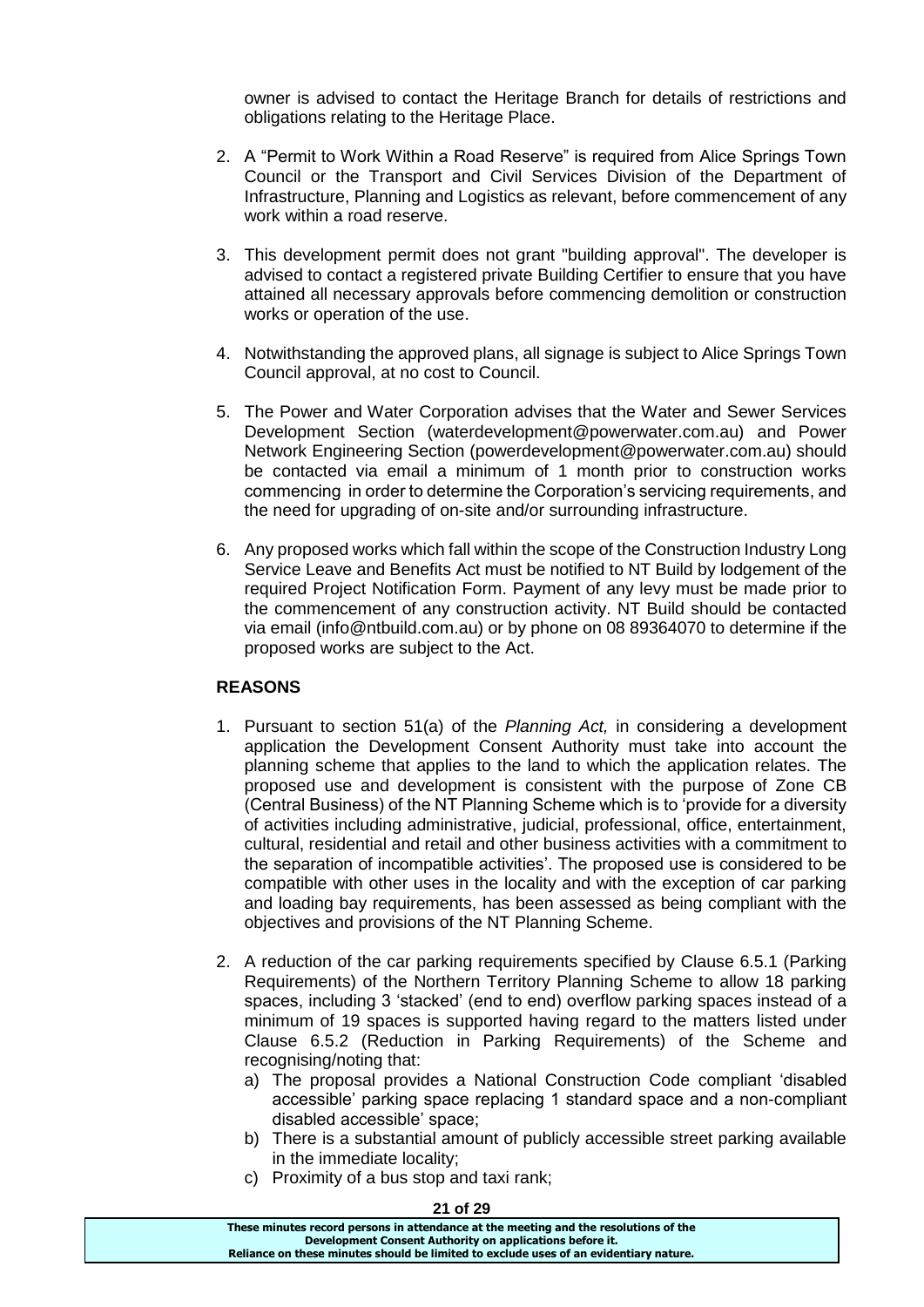owner is advised to contact the Heritage Branch for details of restrictions and obligations relating to the Heritage Place.

- 2. A "Permit to Work Within a Road Reserve" is required from Alice Springs Town Council or the Transport and Civil Services Division of the Department of Infrastructure, Planning and Logistics as relevant, before commencement of any work within a road reserve.
- 3. This development permit does not grant "building approval". The developer is advised to contact a registered private Building Certifier to ensure that you have attained all necessary approvals before commencing demolition or construction works or operation of the use.
- 4. Notwithstanding the approved plans, all signage is subject to Alice Springs Town Council approval, at no cost to Council.
- 5. The Power and Water Corporation advises that the Water and Sewer Services Development Section (waterdevelopment@powerwater.com.au) and Power Network Engineering Section (powerdevelopment@powerwater.com.au) should be contacted via email a minimum of 1 month prior to construction works commencing in order to determine the Corporation's servicing requirements, and the need for upgrading of on-site and/or surrounding infrastructure.
- 6. Any proposed works which fall within the scope of the Construction Industry Long Service Leave and Benefits Act must be notified to NT Build by lodgement of the required Project Notification Form. Payment of any levy must be made prior to the commencement of any construction activity. NT Build should be contacted via email (info@ntbuild.com.au) or by phone on 08 89364070 to determine if the proposed works are subject to the Act.

# **REASONS**

- 1. Pursuant to section 51(a) of the *Planning Act,* in considering a development application the Development Consent Authority must take into account the planning scheme that applies to the land to which the application relates. The proposed use and development is consistent with the purpose of Zone CB (Central Business) of the NT Planning Scheme which is to 'provide for a diversity of activities including administrative, judicial, professional, office, entertainment, cultural, residential and retail and other business activities with a commitment to the separation of incompatible activities'. The proposed use is considered to be compatible with other uses in the locality and with the exception of car parking and loading bay requirements, has been assessed as being compliant with the objectives and provisions of the NT Planning Scheme.
- 2. A reduction of the car parking requirements specified by Clause 6.5.1 (Parking Requirements) of the Northern Territory Planning Scheme to allow 18 parking spaces, including 3 'stacked' (end to end) overflow parking spaces instead of a minimum of 19 spaces is supported having regard to the matters listed under Clause 6.5.2 (Reduction in Parking Requirements) of the Scheme and recognising/noting that:
	- a) The proposal provides a National Construction Code compliant 'disabled accessible' parking space replacing 1 standard space and a non-compliant disabled accessible' space;
	- b) There is a substantial amount of publicly accessible street parking available in the immediate locality;
	- c) Proximity of a bus stop and taxi rank;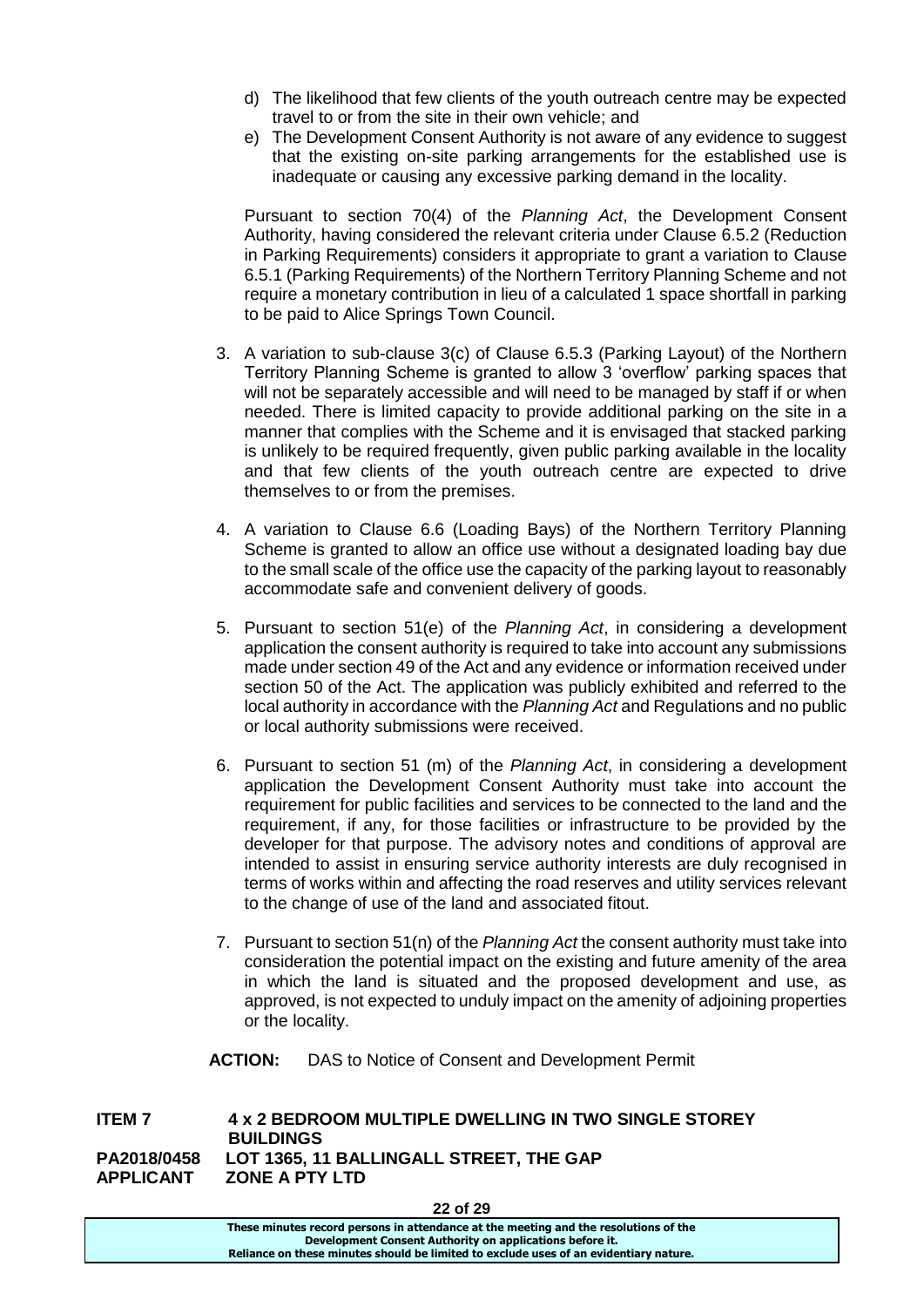- d) The likelihood that few clients of the youth outreach centre may be expected travel to or from the site in their own vehicle; and
- e) The Development Consent Authority is not aware of any evidence to suggest that the existing on-site parking arrangements for the established use is inadequate or causing any excessive parking demand in the locality.

Pursuant to section 70(4) of the *Planning Act*, the Development Consent Authority, having considered the relevant criteria under Clause 6.5.2 (Reduction in Parking Requirements) considers it appropriate to grant a variation to Clause 6.5.1 (Parking Requirements) of the Northern Territory Planning Scheme and not require a monetary contribution in lieu of a calculated 1 space shortfall in parking to be paid to Alice Springs Town Council.

- 3. A variation to sub-clause 3(c) of Clause 6.5.3 (Parking Layout) of the Northern Territory Planning Scheme is granted to allow 3 'overflow' parking spaces that will not be separately accessible and will need to be managed by staff if or when needed. There is limited capacity to provide additional parking on the site in a manner that complies with the Scheme and it is envisaged that stacked parking is unlikely to be required frequently, given public parking available in the locality and that few clients of the youth outreach centre are expected to drive themselves to or from the premises.
- 4. A variation to Clause 6.6 (Loading Bays) of the Northern Territory Planning Scheme is granted to allow an office use without a designated loading bay due to the small scale of the office use the capacity of the parking layout to reasonably accommodate safe and convenient delivery of goods.
- 5. Pursuant to section 51(e) of the *Planning Act*, in considering a development application the consent authority is required to take into account any submissions made under section 49 of the Act and any evidence or information received under section 50 of the Act. The application was publicly exhibited and referred to the local authority in accordance with the *Planning Act* and Regulations and no public or local authority submissions were received.
- 6. Pursuant to section 51 (m) of the *Planning Act*, in considering a development application the Development Consent Authority must take into account the requirement for public facilities and services to be connected to the land and the requirement, if any, for those facilities or infrastructure to be provided by the developer for that purpose. The advisory notes and conditions of approval are intended to assist in ensuring service authority interests are duly recognised in terms of works within and affecting the road reserves and utility services relevant to the change of use of the land and associated fitout.
- 7. Pursuant to section 51(n) of the *Planning Act* the consent authority must take into consideration the potential impact on the existing and future amenity of the area in which the land is situated and the proposed development and use, as approved, is not expected to unduly impact on the amenity of adjoining properties or the locality.
- **ACTION:** DAS to Notice of Consent and Development Permit

**ITEM 7 4 x 2 BEDROOM MULTIPLE DWELLING IN TWO SINGLE STOREY BUILDINGS PA2018/0458 LOT 1365, 11 BALLINGALL STREET, THE GAP APPLICANT ZONE A PTY LTD**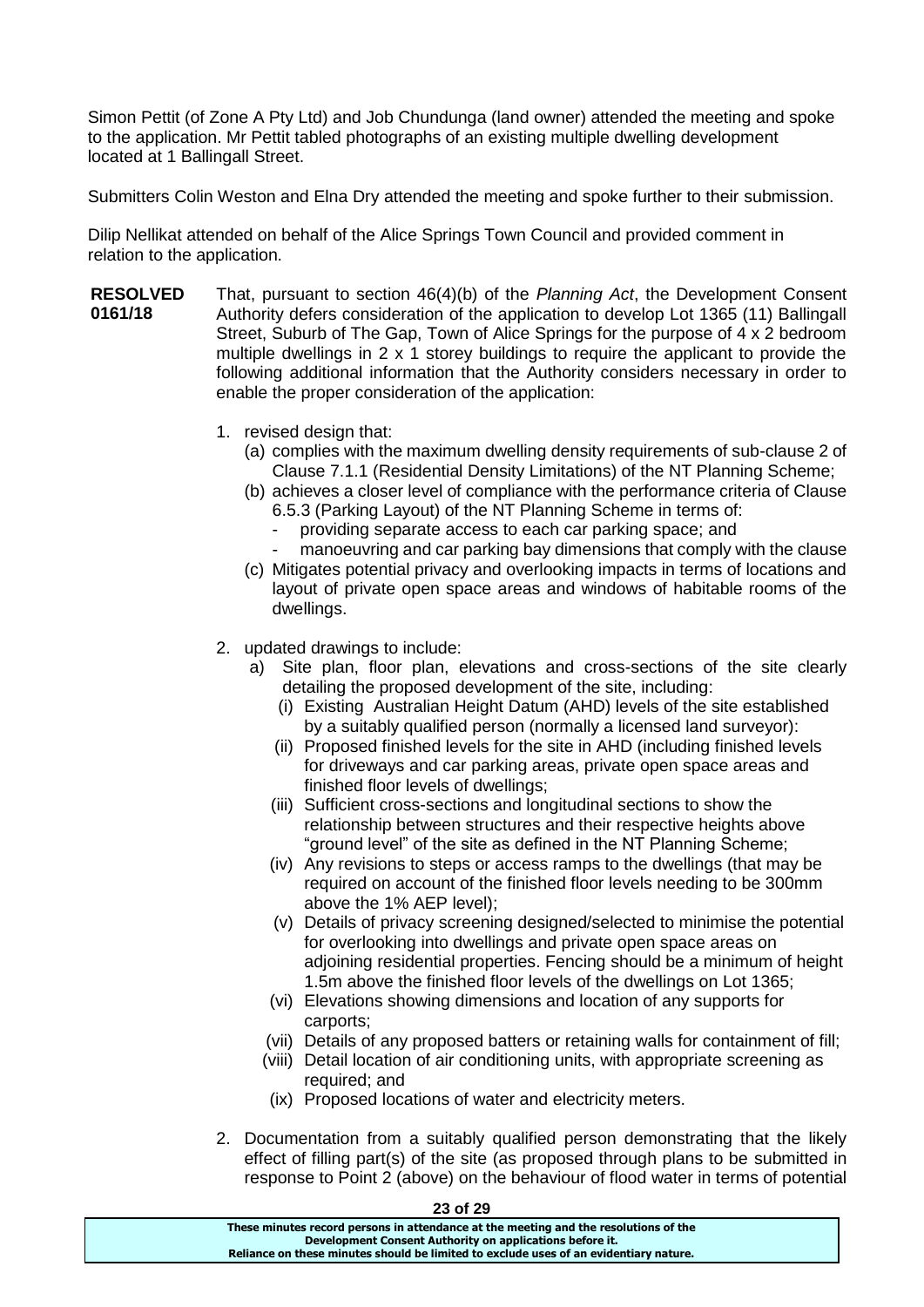Simon Pettit (of Zone A Pty Ltd) and Job Chundunga (land owner) attended the meeting and spoke to the application. Mr Pettit tabled photographs of an existing multiple dwelling development located at 1 Ballingall Street.

Submitters Colin Weston and Elna Dry attended the meeting and spoke further to their submission.

Dilip Nellikat attended on behalf of the Alice Springs Town Council and provided comment in relation to the application.

- **RESOLVED 0161/18** That, pursuant to section 46(4)(b) of the *Planning Act*, the Development Consent Authority defers consideration of the application to develop Lot 1365 (11) Ballingall Street, Suburb of The Gap, Town of Alice Springs for the purpose of 4 x 2 bedroom multiple dwellings in 2 x 1 storey buildings to require the applicant to provide the following additional information that the Authority considers necessary in order to enable the proper consideration of the application:
	- 1. revised design that:
		- (a) complies with the maximum dwelling density requirements of sub-clause 2 of Clause 7.1.1 (Residential Density Limitations) of the NT Planning Scheme;
		- (b) achieves a closer level of compliance with the performance criteria of Clause 6.5.3 (Parking Layout) of the NT Planning Scheme in terms of:
			- providing separate access to each car parking space; and
			- manoeuvring and car parking bay dimensions that comply with the clause
		- (c) Mitigates potential privacy and overlooking impacts in terms of locations and layout of private open space areas and windows of habitable rooms of the dwellings.
	- 2. updated drawings to include:
		- a) Site plan, floor plan, elevations and cross-sections of the site clearly detailing the proposed development of the site, including:
			- (i) Existing Australian Height Datum (AHD) levels of the site established by a suitably qualified person (normally a licensed land surveyor):
			- (ii) Proposed finished levels for the site in AHD (including finished levels for driveways and car parking areas, private open space areas and finished floor levels of dwellings;
			- (iii) Sufficient cross-sections and longitudinal sections to show the relationship between structures and their respective heights above "ground level" of the site as defined in the NT Planning Scheme;
			- (iv) Any revisions to steps or access ramps to the dwellings (that may be required on account of the finished floor levels needing to be 300mm above the 1% AEP level);
			- (v) Details of privacy screening designed/selected to minimise the potential for overlooking into dwellings and private open space areas on adjoining residential properties. Fencing should be a minimum of height 1.5m above the finished floor levels of the dwellings on Lot 1365;
			- (vi) Elevations showing dimensions and location of any supports for carports;
			- (vii) Details of any proposed batters or retaining walls for containment of fill;
			- (viii) Detail location of air conditioning units, with appropriate screening as required; and
			- (ix) Proposed locations of water and electricity meters.
	- 2. Documentation from a suitably qualified person demonstrating that the likely effect of filling part(s) of the site (as proposed through plans to be submitted in response to Point 2 (above) on the behaviour of flood water in terms of potential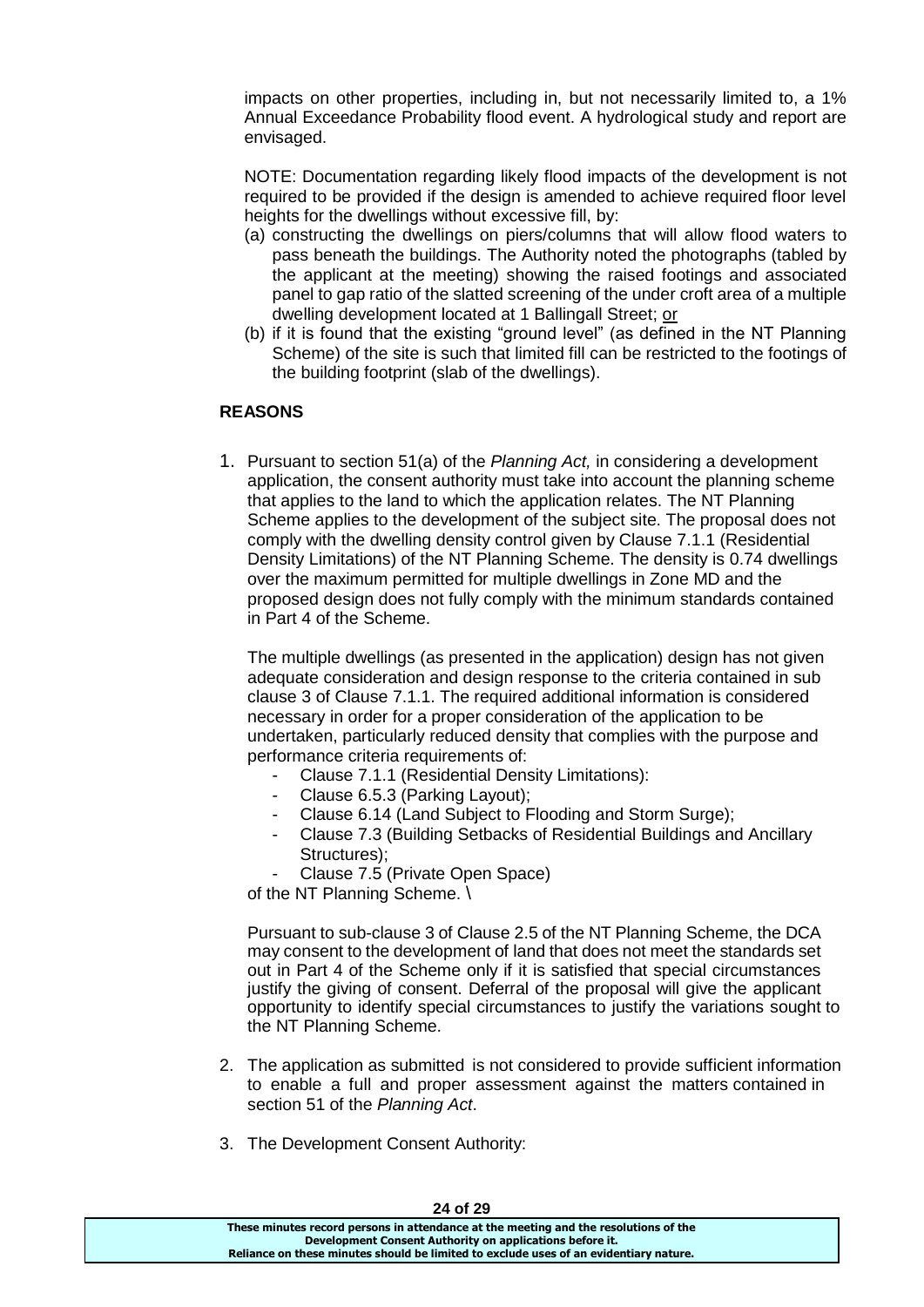impacts on other properties, including in, but not necessarily limited to, a 1% Annual Exceedance Probability flood event. A hydrological study and report are envisaged.

NOTE: Documentation regarding likely flood impacts of the development is not required to be provided if the design is amended to achieve required floor level heights for the dwellings without excessive fill, by:

- (a) constructing the dwellings on piers/columns that will allow flood waters to pass beneath the buildings. The Authority noted the photographs (tabled by the applicant at the meeting) showing the raised footings and associated panel to gap ratio of the slatted screening of the under croft area of a multiple dwelling development located at 1 Ballingall Street; or
- (b) if it is found that the existing "ground level" (as defined in the NT Planning Scheme) of the site is such that limited fill can be restricted to the footings of the building footprint (slab of the dwellings).

# **REASONS**

1. Pursuant to section 51(a) of the *Planning Act,* in considering a development application, the consent authority must take into account the planning scheme that applies to the land to which the application relates. The NT Planning Scheme applies to the development of the subject site. The proposal does not comply with the dwelling density control given by Clause 7.1.1 (Residential Density Limitations) of the NT Planning Scheme. The density is 0.74 dwellings over the maximum permitted for multiple dwellings in Zone MD and the proposed design does not fully comply with the minimum standards contained in Part 4 of the Scheme.

The multiple dwellings (as presented in the application) design has not given adequate consideration and design response to the criteria contained in sub clause 3 of Clause 7.1.1. The required additional information is considered necessary in order for a proper consideration of the application to be undertaken, particularly reduced density that complies with the purpose and performance criteria requirements of:

- Clause 7.1.1 (Residential Density Limitations):
- Clause 6.5.3 (Parking Layout):
- Clause 6.14 (Land Subject to Flooding and Storm Surge);
- Clause 7.3 (Building Setbacks of Residential Buildings and Ancillary Structures);
- Clause 7.5 (Private Open Space)

of the NT Planning Scheme. \

Pursuant to sub-clause 3 of Clause 2.5 of the NT Planning Scheme, the DCA may consent to the development of land that does not meet the standards set out in Part 4 of the Scheme only if it is satisfied that special circumstances justify the giving of consent. Deferral of the proposal will give the applicant opportunity to identify special circumstances to justify the variations sought to the NT Planning Scheme.

- 2. The application as submitted is not considered to provide sufficient information to enable a full and proper assessment against the matters contained in section 51 of the *Planning Act*.
- 3. The Development Consent Authority: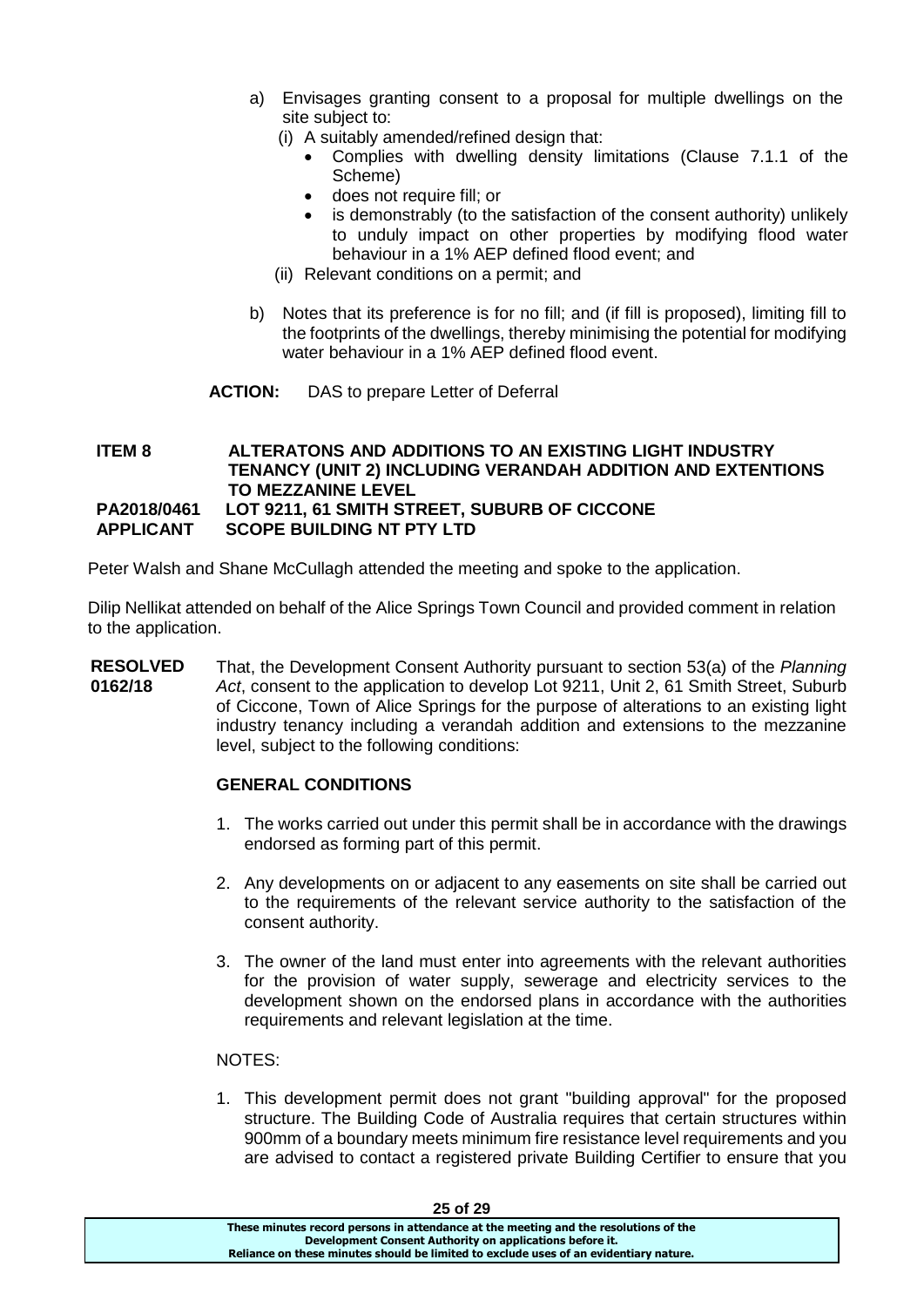- a) Envisages granting consent to a proposal for multiple dwellings on the site subject to:
	- (i) A suitably amended/refined design that:
		- Complies with dwelling density limitations (Clause 7.1.1 of the Scheme)
		- does not require fill; or
		- is demonstrably (to the satisfaction of the consent authority) unlikely to unduly impact on other properties by modifying flood water behaviour in a 1% AEP defined flood event; and
	- (ii) Relevant conditions on a permit; and
- b) Notes that its preference is for no fill; and (if fill is proposed), limiting fill to the footprints of the dwellings, thereby minimising the potential for modifying water behaviour in a 1% AEP defined flood event.
- **ACTION:** DAS to prepare Letter of Deferral

### **ITEM 8 ALTERATONS AND ADDITIONS TO AN EXISTING LIGHT INDUSTRY TENANCY (UNIT 2) INCLUDING VERANDAH ADDITION AND EXTENTIONS TO MEZZANINE LEVEL PA2018/0461 LOT 9211, 61 SMITH STREET, SUBURB OF CICCONE APPLICANT SCOPE BUILDING NT PTY LTD**

Peter Walsh and Shane McCullagh attended the meeting and spoke to the application.

Dilip Nellikat attended on behalf of the Alice Springs Town Council and provided comment in relation to the application.

**RESOLVED 0162/18** That, the Development Consent Authority pursuant to section 53(a) of the *Planning Act*, consent to the application to develop Lot 9211, Unit 2, 61 Smith Street, Suburb of Ciccone, Town of Alice Springs for the purpose of alterations to an existing light industry tenancy including a verandah addition and extensions to the mezzanine level, subject to the following conditions:

# **GENERAL CONDITIONS**

- 1. The works carried out under this permit shall be in accordance with the drawings endorsed as forming part of this permit.
- 2. Any developments on or adjacent to any easements on site shall be carried out to the requirements of the relevant service authority to the satisfaction of the consent authority.
- 3. The owner of the land must enter into agreements with the relevant authorities for the provision of water supply, sewerage and electricity services to the development shown on the endorsed plans in accordance with the authorities requirements and relevant legislation at the time.

# NOTES:

1. This development permit does not grant "building approval" for the proposed structure. The Building Code of Australia requires that certain structures within 900mm of a boundary meets minimum fire resistance level requirements and you are advised to contact a registered private Building Certifier to ensure that you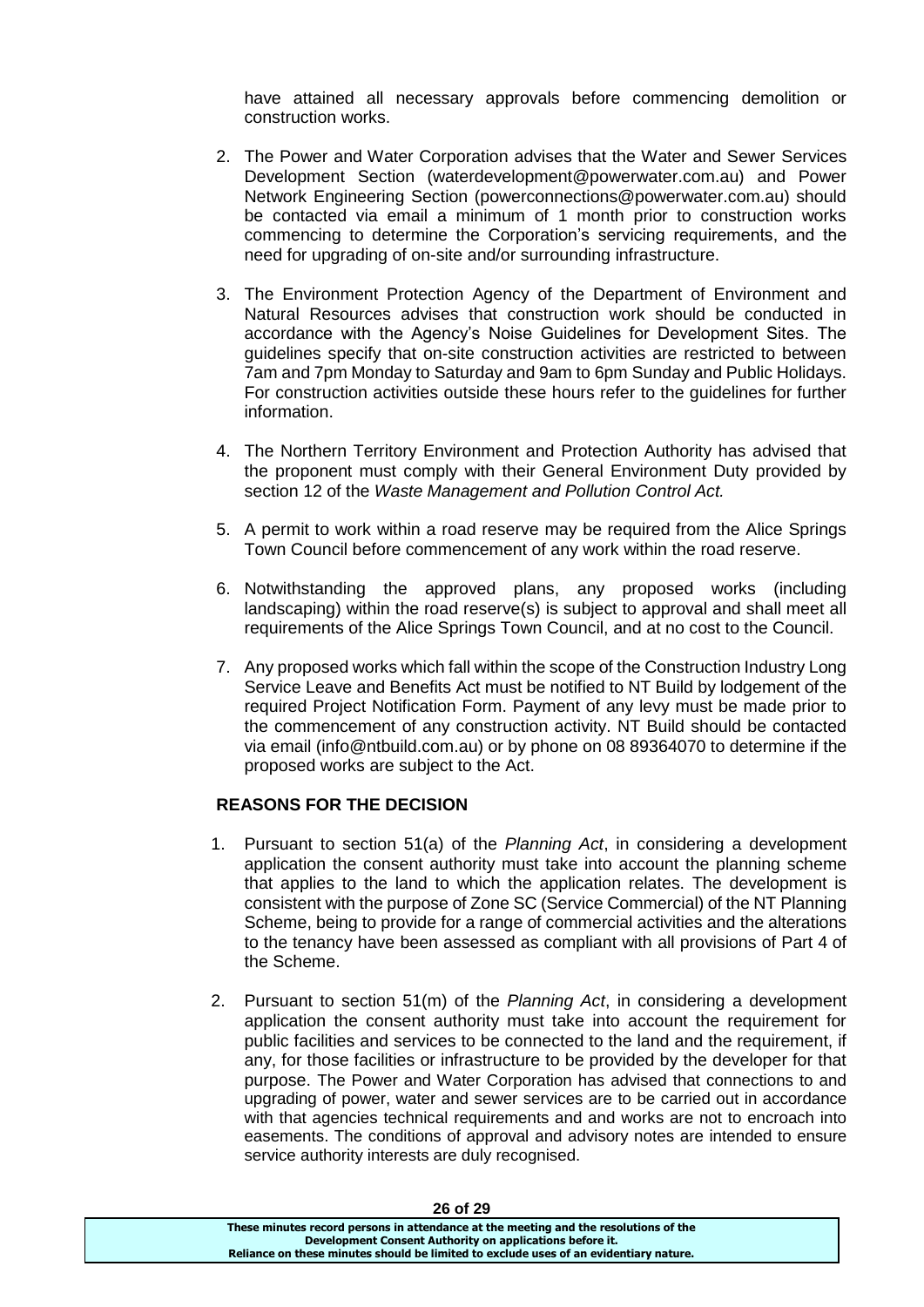have attained all necessary approvals before commencing demolition or construction works.

- 2. The Power and Water Corporation advises that the Water and Sewer Services Development Section (waterdevelopment@powerwater.com.au) and Power Network Engineering Section (powerconnections@powerwater.com.au) should be contacted via email a minimum of 1 month prior to construction works commencing to determine the Corporation's servicing requirements, and the need for upgrading of on-site and/or surrounding infrastructure.
- 3. The Environment Protection Agency of the Department of Environment and Natural Resources advises that construction work should be conducted in accordance with the Agency's Noise Guidelines for Development Sites. The guidelines specify that on-site construction activities are restricted to between 7am and 7pm Monday to Saturday and 9am to 6pm Sunday and Public Holidays. For construction activities outside these hours refer to the guidelines for further information.
- 4. The Northern Territory Environment and Protection Authority has advised that the proponent must comply with their General Environment Duty provided by section 12 of the *Waste Management and Pollution Control Act.*
- 5. A permit to work within a road reserve may be required from the Alice Springs Town Council before commencement of any work within the road reserve.
- 6. Notwithstanding the approved plans, any proposed works (including landscaping) within the road reserve(s) is subject to approval and shall meet all requirements of the Alice Springs Town Council, and at no cost to the Council.
- 7. Any proposed works which fall within the scope of the Construction Industry Long Service Leave and Benefits Act must be notified to NT Build by lodgement of the required Project Notification Form. Payment of any levy must be made prior to the commencement of any construction activity. NT Build should be contacted via email (info@ntbuild.com.au) or by phone on 08 89364070 to determine if the proposed works are subject to the Act.

# **REASONS FOR THE DECISION**

- 1. Pursuant to section 51(a) of the *Planning Act*, in considering a development application the consent authority must take into account the planning scheme that applies to the land to which the application relates. The development is consistent with the purpose of Zone SC (Service Commercial) of the NT Planning Scheme, being to provide for a range of commercial activities and the alterations to the tenancy have been assessed as compliant with all provisions of Part 4 of the Scheme.
- 2. Pursuant to section 51(m) of the *Planning Act*, in considering a development application the consent authority must take into account the requirement for public facilities and services to be connected to the land and the requirement, if any, for those facilities or infrastructure to be provided by the developer for that purpose. The Power and Water Corporation has advised that connections to and upgrading of power, water and sewer services are to be carried out in accordance with that agencies technical requirements and and works are not to encroach into easements. The conditions of approval and advisory notes are intended to ensure service authority interests are duly recognised.

| ------                                                                                |  |
|---------------------------------------------------------------------------------------|--|
| These minutes record persons in attendance at the meeting and the resolutions of the  |  |
| Development Consent Authority on applications before it.                              |  |
| Reliance on these minutes should be limited to exclude uses of an evidentiary nature. |  |
|                                                                                       |  |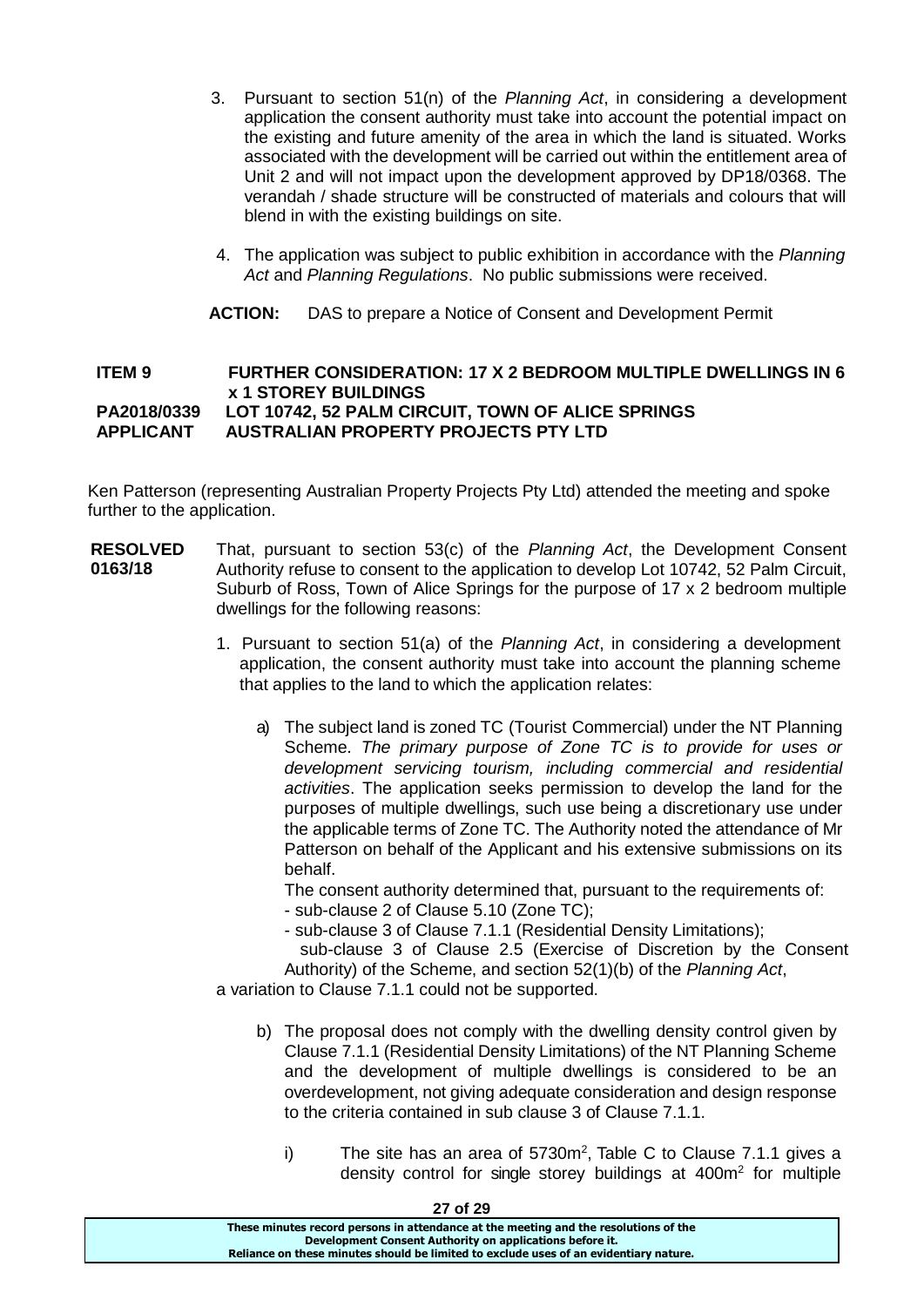- 3. Pursuant to section 51(n) of the *Planning Act*, in considering a development application the consent authority must take into account the potential impact on the existing and future amenity of the area in which the land is situated. Works associated with the development will be carried out within the entitlement area of Unit 2 and will not impact upon the development approved by DP18/0368. The verandah / shade structure will be constructed of materials and colours that will blend in with the existing buildings on site.
- 4. The application was subject to public exhibition in accordance with the *Planning Act* and *Planning Regulations*. No public submissions were received.
- **ACTION:** DAS to prepare a Notice of Consent and Development Permit

### **ITEM 9 FURTHER CONSIDERATION: 17 X 2 BEDROOM MULTIPLE DWELLINGS IN 6 x 1 STOREY BUILDINGS PA2018/0339 LOT 10742, 52 PALM CIRCUIT, TOWN OF ALICE SPRINGS APPLICANT AUSTRALIAN PROPERTY PROJECTS PTY LTD**

Ken Patterson (representing Australian Property Projects Pty Ltd) attended the meeting and spoke further to the application.

- **RESOLVED 0163/18** That, pursuant to section 53(c) of the *Planning Act*, the Development Consent Authority refuse to consent to the application to develop Lot 10742, 52 Palm Circuit, Suburb of Ross, Town of Alice Springs for the purpose of 17 x 2 bedroom multiple dwellings for the following reasons:
	- 1. Pursuant to section 51(a) of the *Planning Act*, in considering a development application, the consent authority must take into account the planning scheme that applies to the land to which the application relates:
		- a) The subject land is zoned TC (Tourist Commercial) under the NT Planning Scheme. *The primary purpose of Zone TC is to provide for uses or development servicing tourism, including commercial and residential activities*. The application seeks permission to develop the land for the purposes of multiple dwellings, such use being a discretionary use under the applicable terms of Zone TC. The Authority noted the attendance of Mr Patterson on behalf of the Applicant and his extensive submissions on its behalf.

The consent authority determined that, pursuant to the requirements of:

- sub-clause 2 of Clause 5.10 (Zone TC);
- sub-clause 3 of Clause 7.1.1 (Residential Density Limitations);

sub-clause 3 of Clause 2.5 (Exercise of Discretion by the Consent Authority) of the Scheme, and section 52(1)(b) of the *Planning Act*,

a variation to Clause 7.1.1 could not be supported.

- b) The proposal does not comply with the dwelling density control given by Clause 7.1.1 (Residential Density Limitations) of the NT Planning Scheme and the development of multiple dwellings is considered to be an overdevelopment, not giving adequate consideration and design response to the criteria contained in sub clause 3 of Clause 7.1.1.
	- i) The site has an area of  $5730m^2$ , Table C to Clause 7.1.1 gives a density control for single storey buildings at 400m<sup>2</sup> for multiple

| 27 of 29                                                                                                                                          |
|---------------------------------------------------------------------------------------------------------------------------------------------------|
| These minutes record persons in attendance at the meeting and the resolutions of the                                                              |
| Development Consent Authority on applications before it.<br>Reliance on these minutes should be limited to exclude uses of an evidentiary nature. |
|                                                                                                                                                   |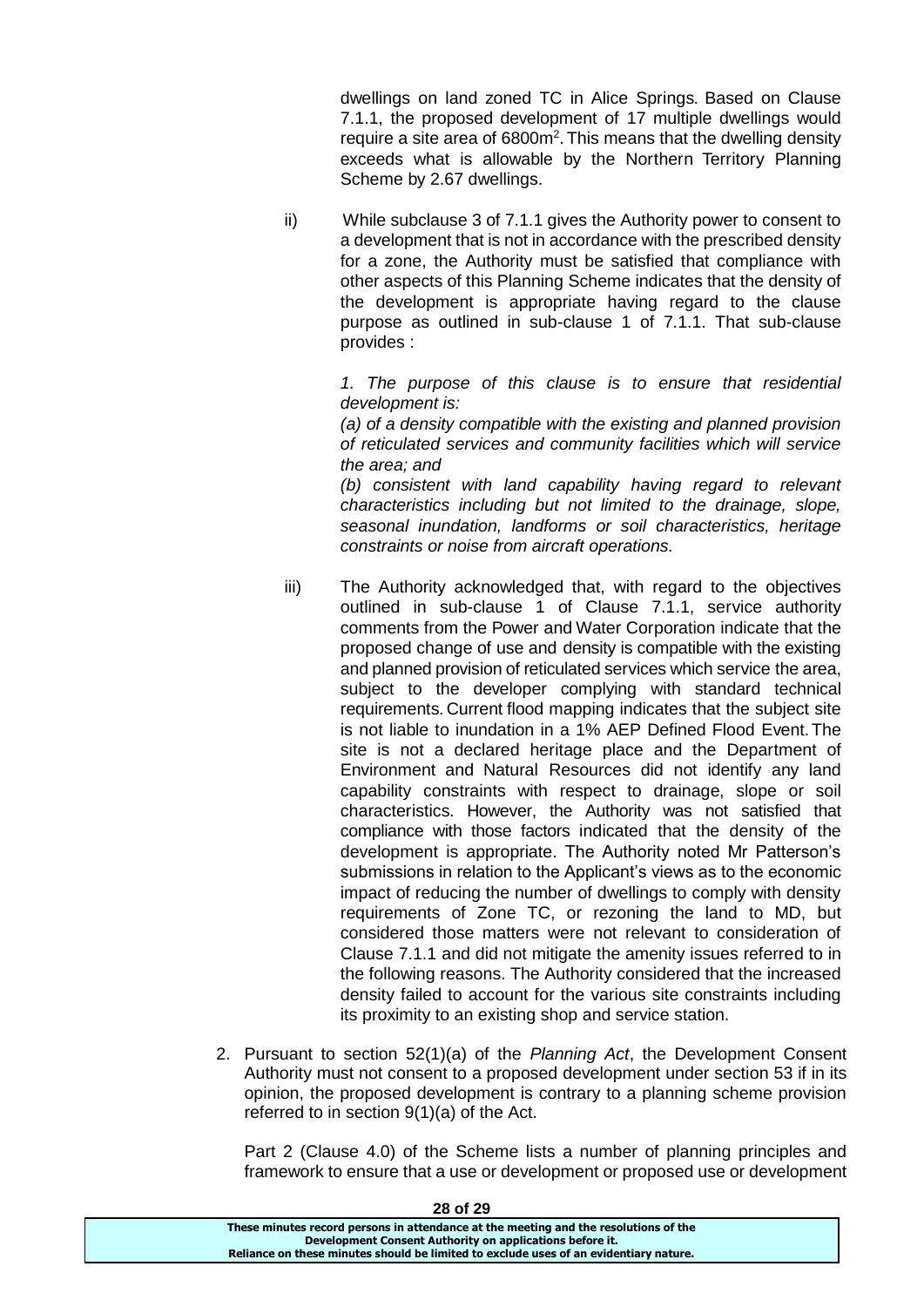dwellings on land zoned TC in Alice Springs. Based on Clause 7.1.1, the proposed development of 17 multiple dwellings would require a site area of 6800m<sup>2</sup>. This means that the dwelling density exceeds what is allowable by the Northern Territory Planning Scheme by 2.67 dwellings.

ii) While subclause 3 of 7.1.1 gives the Authority power to consent to a development that is not in accordance with the prescribed density for a zone, the Authority must be satisfied that compliance with other aspects of this Planning Scheme indicates that the density of the development is appropriate having regard to the clause purpose as outlined in sub-clause 1 of 7.1.1. That sub-clause provides :

> *1. The purpose of this clause is to ensure that residential development is:*

> *(a) of a density compatible with the existing and planned provision of reticulated services and community facilities which will service the area; and*

> *(b) consistent with land capability having regard to relevant characteristics including but not limited to the drainage, slope, seasonal inundation, landforms or soil characteristics, heritage constraints or noise from aircraft operations.*

- iii) The Authority acknowledged that, with regard to the objectives outlined in sub-clause 1 of Clause 7.1.1, service authority comments from the Power and Water Corporation indicate that the proposed change of use and density is compatible with the existing and planned provision of reticulated services which service the area, subject to the developer complying with standard technical requirements. Current flood mapping indicates that the subject site is not liable to inundation in a 1% AEP Defined Flood Event.The site is not a declared heritage place and the Department of Environment and Natural Resources did not identify any land capability constraints with respect to drainage, slope or soil characteristics. However, the Authority was not satisfied that compliance with those factors indicated that the density of the development is appropriate. The Authority noted Mr Patterson's submissions in relation to the Applicant's views as to the economic impact of reducing the number of dwellings to comply with density requirements of Zone TC, or rezoning the land to MD, but considered those matters were not relevant to consideration of Clause 7.1.1 and did not mitigate the amenity issues referred to in the following reasons. The Authority considered that the increased density failed to account for the various site constraints including its proximity to an existing shop and service station.
- 2. Pursuant to section 52(1)(a) of the *Planning Act*, the Development Consent Authority must not consent to a proposed development under section 53 if in its opinion, the proposed development is contrary to a planning scheme provision referred to in section 9(1)(a) of the Act.

Part 2 (Clause 4.0) of the Scheme lists a number of planning principles and framework to ensure that a use or development or proposed use or development

| 28 of 29                                                                              |
|---------------------------------------------------------------------------------------|
| These minutes record persons in attendance at the meeting and the resolutions of the  |
| Development Consent Authority on applications before it.                              |
| Reliance on these minutes should be limited to exclude uses of an evidentiary nature. |
|                                                                                       |